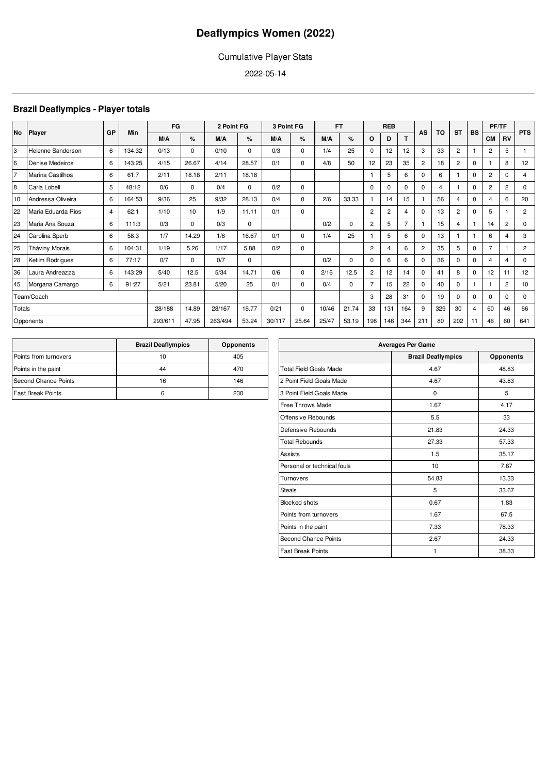### Cumulative Player Stats

2022-05-14

### **Brazil Deaflympics - Player totals**

| <b>No</b> |                         | GP             | <b>Min</b> | FG      |          | 2 Point FG |       | 3 Point FG |             | <b>FT</b> |             |                | <b>REB</b>     |                | AS             | <b>TO</b> | <b>ST</b>      | <b>BS</b>      | PF/TF          |                | <b>PTS</b>     |
|-----------|-------------------------|----------------|------------|---------|----------|------------|-------|------------|-------------|-----------|-------------|----------------|----------------|----------------|----------------|-----------|----------------|----------------|----------------|----------------|----------------|
|           | Player                  |                |            | M/A     | %        | M/A        | %     | M/A        | %           | M/A       | %           | O              | D              | T              |                |           |                |                | <b>CM</b>      | <b>RV</b>      |                |
| 3         | Helenne Sanderson       | 6              | 134:32     | 0/13    | $\Omega$ | 0/10       | 0     | 0/3        | $\Omega$    | 1/4       | 25          | $\Omega$       | 12             | 12             | 3              | 33        | $\overline{2}$ |                | $\overline{2}$ | 5              |                |
| 6         | Denise Medeiros         | 6              | 143:25     | 4/15    | 26.67    | 4/14       | 28.57 | 0/1        | $\Omega$    | 4/8       | 50          | 12             | 23             | 35             | $\overline{2}$ | 18        | $\overline{2}$ | $\mathbf 0$    |                | 8              | 12             |
| 7         | <b>Marina Castilhos</b> | 6              | 61:7       | 2/11    | 18.18    | 2/11       | 18.18 |            |             |           |             |                | 5              | 6              | $\Omega$       | 6         |                | $\mathbf 0$    | $\overline{2}$ | $\Omega$       | 4              |
| 8         | Carla Lobell            | 5              | 48:12      | 0/6     | $\Omega$ | 0/4        | 0     | 0/2        | $\mathbf 0$ |           |             | $\Omega$       | $\Omega$       | $\Omega$       | $\Omega$       | 4         |                | $\mathbf 0$    | $\overline{2}$ | $\overline{2}$ | $\mathbf 0$    |
| 10        | Andressa Oliveira       | 6              | 164:53     | 9/36    | 25       | 9/32       | 28.13 | 0/4        | $\Omega$    | 2/6       | 33.33       |                | 14             | 15             |                | 56        | 4              | $\mathbf 0$    | 4              | 6              | 20             |
| 22        | Maria Eduarda Rios      | $\overline{4}$ | 62:1       | 1/10    | 10       | 1/9        | 11.11 | 0/1        | $\Omega$    |           |             | $\overline{2}$ | $\overline{2}$ | 4              | 0              | 13        | $\overline{2}$ | $\mathbf 0$    | 5              |                | $\overline{2}$ |
| 23        | Maria Ana Souza         | 6              | 111:3      | 0/3     | 0        | 0/3        | 0     |            |             | 0/2       | 0           | $\overline{c}$ | 5              | $\overline{7}$ |                | 15        | 4              |                | 14             | $\overline{2}$ | $\mathbf 0$    |
| 24        | Carolina Sperb          | 6              | 58:3       | 1/7     | 14.29    | 1/6        | 16.67 | 0/1        | $\Omega$    | 1/4       | 25          |                | 5              | 6              | $\Omega$       | 13        |                |                | 6              | 4              | 3              |
| 25        | Tháviny Morais          | 6              | 104:31     | 1/19    | 5.26     | 1/17       | 5.88  | 0/2        | $\Omega$    |           |             | $\overline{2}$ | 4              | 6              | $\overline{2}$ | 35        | 5              | $\mathbf 0$    | $\overline{7}$ |                | $\overline{2}$ |
| 28        | Ketlim Rodrigues        | 6              | 77:17      | 0/7     | $\Omega$ | 0/7        | 0     |            |             | 0/2       | $\mathbf 0$ | $\Omega$       | 6              | 6              | $\Omega$       | 36        | $\Omega$       | 0              | 4              | 4              | $\mathbf 0$    |
| 36        | Laura Andreazza         | 6              | 143:29     | 5/40    | 12.5     | 5/34       | 14.71 | 0/6        | $\Omega$    | 2/16      | 12.5        | $\overline{2}$ | 12             | 14             | $\Omega$       | 41        | 8              | $\mathbf 0$    | 12             | 11             | 12             |
| 45        | Morgana Camargo         | 6              | 91:27      | 5/21    | 23.81    | 5/20       | 25    | 0/1        | $\Omega$    | 0/4       | $\Omega$    | $\overline{7}$ | 15             | 22             | $\Omega$       | 40        | $\Omega$       |                |                | $\overline{2}$ | 10             |
|           | Team/Coach              |                |            |         |          |            |       |            |             |           |             | 3              | 28             | 31             | $\Omega$       | 19        | $\Omega$       | $\Omega$       | $\Omega$       | $\Omega$       | $\mathbf 0$    |
| Totals    |                         |                |            | 28/188  | 14.89    | 28/167     | 16.77 | 0/21       | $\mathbf 0$ | 10/46     | 21.74       | 33             | 131            | 164            | 9              | 329       | 30             | $\overline{4}$ | 60             | 46             | 66             |
|           | Opponents               |                |            | 293/611 | 47.95    | 263/494    | 53.24 | 30/117     | 25.64       | 25/47     | 53.19       | 198            | 146            | 344            | 211            | 80        | 202            | 11             | 46             | 60             | 641            |

|                          | <b>Brazil Deaflympics</b> | <b>Opponents</b> |
|--------------------------|---------------------------|------------------|
| Points from turnovers    | 10                        | 405              |
| Points in the paint      | 44                        | 470              |
| Second Chance Points     | 16                        | 146              |
| <b>Fast Break Points</b> | հ                         | 230              |

| <b>Averages Per Game</b>      |                           |                  |  |  |  |  |  |  |  |  |
|-------------------------------|---------------------------|------------------|--|--|--|--|--|--|--|--|
|                               | <b>Brazil Deaflympics</b> | <b>Opponents</b> |  |  |  |  |  |  |  |  |
| <b>Total Field Goals Made</b> | 4.67                      | 48.83            |  |  |  |  |  |  |  |  |
| 2 Point Field Goals Made      | 4.67                      | 43.83            |  |  |  |  |  |  |  |  |
| 3 Point Field Goals Made      | 0                         | 5                |  |  |  |  |  |  |  |  |
| <b>Free Throws Made</b>       | 1.67                      | 4.17             |  |  |  |  |  |  |  |  |
| Offensive Rebounds            | 5.5                       | 33               |  |  |  |  |  |  |  |  |
| Defensive Rebounds            | 21.83                     | 24.33            |  |  |  |  |  |  |  |  |
| <b>Total Rebounds</b>         | 27.33                     | 57.33            |  |  |  |  |  |  |  |  |
| Assists                       | 1.5                       | 35.17            |  |  |  |  |  |  |  |  |
| Personal or technical fouls   | 10                        | 7.67             |  |  |  |  |  |  |  |  |
| Turnovers                     | 54.83                     | 13.33            |  |  |  |  |  |  |  |  |
| <b>Steals</b>                 | 5                         | 33.67            |  |  |  |  |  |  |  |  |
| <b>Blocked shots</b>          | 0.67                      | 1.83             |  |  |  |  |  |  |  |  |
| Points from turnovers         | 1.67                      | 67.5             |  |  |  |  |  |  |  |  |
| Points in the paint           | 7.33                      | 78.33            |  |  |  |  |  |  |  |  |
| <b>Second Chance Points</b>   | 2.67                      | 24.33            |  |  |  |  |  |  |  |  |
| <b>Fast Break Points</b>      | 1                         | 38.33            |  |  |  |  |  |  |  |  |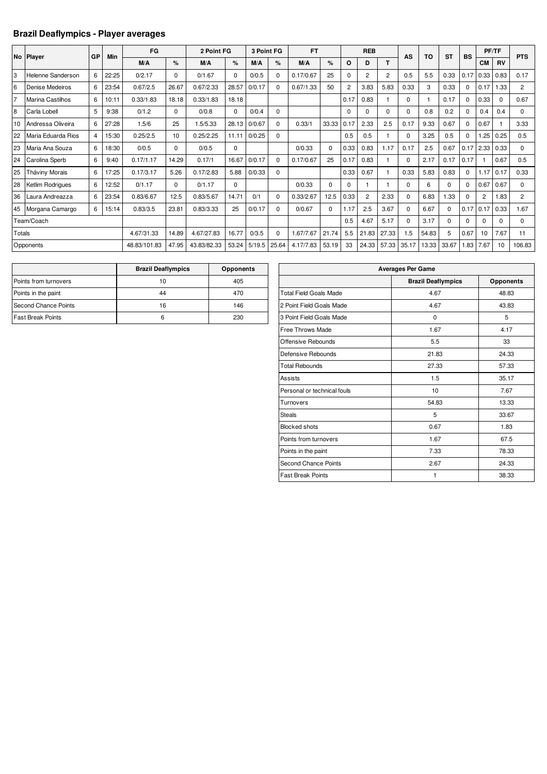### **Brazil Deaflympics - Player averages**

|        | No Player          | GP | Min   | FG           |          | 2 Point FG  |          | 3 Point FG |             | <b>FT</b> |          |                | <b>REB</b>     |                | AS       | TO    | <b>ST</b> | <b>BS</b>   |                | <b>PF/TF</b> | <b>PTS</b>     |
|--------|--------------------|----|-------|--------------|----------|-------------|----------|------------|-------------|-----------|----------|----------------|----------------|----------------|----------|-------|-----------|-------------|----------------|--------------|----------------|
|        |                    |    |       | M/A          | %        | M/A         | $\%$     | M/A        | %           | M/A       | $\%$     | $\Omega$       | D              | т              |          |       |           |             | <b>CM</b>      | <b>RV</b>    |                |
| 3      | Helenne Sanderson  | 6  | 22:25 | 0/2.17       | $\Omega$ | 0/1.67      | $\Omega$ | 0/0.5      | $\mathbf 0$ | 0.17/0.67 | 25       | 0              | $\overline{2}$ | $\overline{2}$ | 0.5      | 5.5   | 0.33      | 0.17        | 0.33           | 0.83         | 0.17           |
| 6      | Denise Medeiros    | 6  | 23:54 | 0.67/2.5     | 26.67    | 0.67/2.33   | 28.57    | 0/0.17     | $\Omega$    | 0.67/1.33 | 50       | $\overline{2}$ | 3.83           | 5.83           | 0.33     | 3     | 0.33      | 0           | 0.17           | 1.33         | $\overline{2}$ |
| 17     | Marina Castilhos   | 6  | 10:11 | 0.33/1.83    | 18.18    | 0.33/1.83   | 18.18    |            |             |           |          | 0.17           | 0.83           |                | $\Omega$ |       | 0.17      | 0           | 0.33           | 0            | 0.67           |
| 8      | Carla Lobell       | 5  | 9:38  | 0/1.2        | $\Omega$ | 0/0.8       | 0        | 0/0.4      | 0           |           |          | 0              | $\Omega$       | $\Omega$       | 0        | 0.8   | 0.2       | 0           | 0.4            | 0.4          | $\Omega$       |
| 10     | Andressa Oliveira  | 6  | 27:28 | 1.5/6        | 25       | 1.5/5.33    | 28.13    | 0/0.67     | $\Omega$    | 0.33/1    | 33.33    | 0.17           | 2.33           | 2.5            | 0.17     | 9.33  | 0.67      | $\Omega$    | 0.67           |              | 3.33           |
| 22     | Maria Eduarda Rios | 4  | 15:30 | 0.25/2.5     | 10       | 0.25/2.25   | 11.11    | 0/0.25     | 0           |           |          | 0.5            | 0.5            |                | $\Omega$ | 3.25  | 0.5       | $\mathbf 0$ | .25            | 0.25         | 0.5            |
| 23     | Maria Ana Souza    | 6  | 18:30 | 0/0.5        | $\Omega$ | 0/0.5       | 0        |            |             | 0/0.33    | $\Omega$ | 0.33           | 0.83           | 1.17           | 0.17     | 2.5   | 0.67      | 0.17        | 2.33           | 0.33         | $\Omega$       |
| 24     | Carolina Sperb     | 6  | 9:40  | 0.17/1.17    | 14.29    | 0.17/1      | 16.67    | 0/0.17     | $\Omega$    | 0.17/0.67 | 25       | 0.17           | 0.83           |                | $\Omega$ | 2.17  | 0.17      | 0.17        |                | 0.67         | 0.5            |
| 25     | Tháviny Morais     | 6  | 17:25 | 0.17/3.17    | 5.26     | 0.17/2.83   | 5.88     | 0/0.33     | 0           |           |          | 0.33           | 0.67           |                | 0.33     | 5.83  | 0.83      | 0           | .17            | 0.17         | 0.33           |
| 28     | Ketlim Rodrigues   | 6  | 12:52 | 0/1.17       | $\Omega$ | 0/1.17      | 0        |            |             | 0/0.33    | $\Omega$ | 0              |                |                | $\Omega$ | 6     | $\Omega$  | $\Omega$    | 0.67           | 0.67         | $\Omega$       |
| 36     | Laura Andreazza    | 6  | 23:54 | 0.83/6.67    | 12.5     | 0.83/5.67   | 14.71    | 0/1        | $\Omega$    | 0.33/2.67 | 12.5     | 0.33           | $\overline{2}$ | 2.33           | 0        | 6.83  | 1.33      | $\Omega$    | $\overline{2}$ | 1.83         | $\overline{2}$ |
|        | 45 Morgana Camargo | 6  | 15:14 | 0.83/3.5     | 23.81    | 0.83/3.33   | 25       | 0/0.17     | $\Omega$    | 0/0.67    | $\Omega$ | 1.17           | 2.5            | 3.67           | 0        | 6.67  | n         | 0.17        | 0.17           | 0.33         | 1.67           |
|        | Team/Coach         |    |       |              |          |             |          |            |             |           |          | 0.5            | 4.67           | 5.17           | $\Omega$ | 3.17  | $\Omega$  | $\Omega$    | $\Omega$       | $\Omega$     | $\Omega$       |
| Totals |                    |    |       | 4.67/31.33   | 14.89    | 4.67/27.83  | 16.77    | 0/3.5      | $\mathbf 0$ | 1.67/7.67 | 21.74    | 5.5            | 21.83          | 27.33          | 1.5      | 54.83 | 5         | 0.67        | 10             | 7.67         | 11             |
|        | Opponents          |    |       | 48.83/101.83 | 47.95    | 43.83/82.33 | 53.24    | 5/19.5     | 25.64       | 4.17/7.83 | 53.19    | 33             | 24.33          | 57.33          | 35.17    | 13.33 | 33.67     | 1.83        | 7.67           | 10           | 106.83         |

|                          | <b>Brazil Deaflympics</b> | <b>Opponents</b> |
|--------------------------|---------------------------|------------------|
| Points from turnovers    | 10                        | 405              |
| Points in the paint      | 44                        | 470              |
| Second Chance Points     | 16                        | 146              |
| <b>Fast Break Points</b> |                           | 230              |

| <b>Averages Per Game</b>      |                           |                  |  |  |  |  |  |  |  |  |  |
|-------------------------------|---------------------------|------------------|--|--|--|--|--|--|--|--|--|
|                               | <b>Brazil Deaflympics</b> | <b>Opponents</b> |  |  |  |  |  |  |  |  |  |
| <b>Total Field Goals Made</b> | 4.67                      | 48.83            |  |  |  |  |  |  |  |  |  |
| 2 Point Field Goals Made      | 4.67                      | 43.83            |  |  |  |  |  |  |  |  |  |
| 3 Point Field Goals Made      | 0                         | 5                |  |  |  |  |  |  |  |  |  |
| Free Throws Made              | 1.67                      | 4.17             |  |  |  |  |  |  |  |  |  |
| Offensive Rebounds            | 5.5                       | 33               |  |  |  |  |  |  |  |  |  |
| Defensive Rebounds            | 21.83                     | 24.33            |  |  |  |  |  |  |  |  |  |
| <b>Total Rebounds</b>         | 27.33                     | 57.33            |  |  |  |  |  |  |  |  |  |
| <b>Assists</b>                | 1.5                       | 35.17            |  |  |  |  |  |  |  |  |  |
| Personal or technical fouls   | 10                        | 7.67             |  |  |  |  |  |  |  |  |  |
| Turnovers                     | 54.83                     | 13.33            |  |  |  |  |  |  |  |  |  |
| <b>Steals</b>                 | 5                         | 33.67            |  |  |  |  |  |  |  |  |  |
| <b>Blocked shots</b>          | 0.67                      | 1.83             |  |  |  |  |  |  |  |  |  |
| Points from turnovers         | 1.67                      | 67.5             |  |  |  |  |  |  |  |  |  |
| Points in the paint           | 7.33                      | 78.33            |  |  |  |  |  |  |  |  |  |
| Second Chance Points          | 2.67                      | 24.33            |  |  |  |  |  |  |  |  |  |
| <b>Fast Break Points</b>      | 1                         | 38.33            |  |  |  |  |  |  |  |  |  |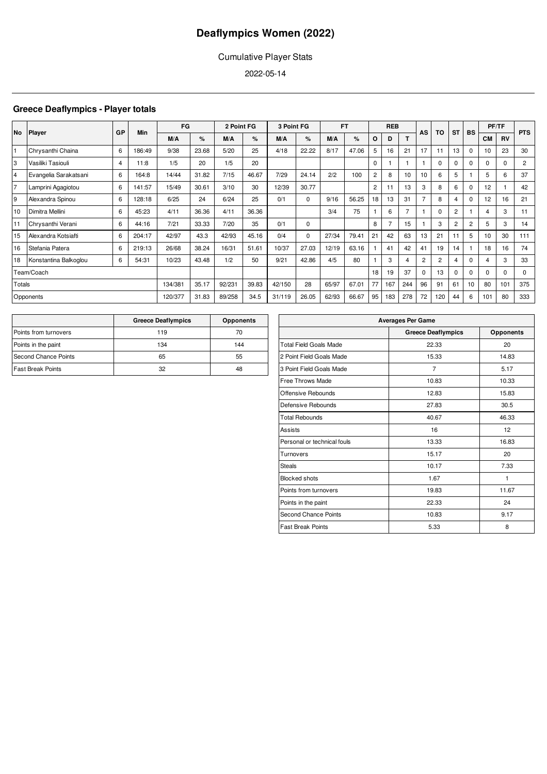### Cumulative Player Stats

2022-05-14

### **Greece Deaflympics - Player totals**

| No             |                       | GP | Min    | FG      |       | 2 Point FG |       | 3 Point FG |             |       | <b>FT</b> |                | <b>REB</b>     |                | AS             | <b>TO</b>      | <b>ST</b>      | <b>BS</b> |           | PF/TF     | <b>PTS</b>     |
|----------------|-----------------------|----|--------|---------|-------|------------|-------|------------|-------------|-------|-----------|----------------|----------------|----------------|----------------|----------------|----------------|-----------|-----------|-----------|----------------|
|                | <b>Player</b>         |    |        | M/A     | %     | M/A        | %     | M/A        | %           | M/A   | %         | 0              | D              |                |                |                |                |           | <b>CM</b> | <b>RV</b> |                |
|                | Chrysanthi Chaina     | 6  | 186:49 | 9/38    | 23.68 | 5/20       | 25    | 4/18       | 22.22       | 8/17  | 47.06     | 5              | 16             | 21             | 17             | 11             | 13             | $\Omega$  | 10        | 23        | 30             |
| 3              | Vasiliki Tasiouli     | 4  | 11:8   | 1/5     | 20    | 1/5        | 20    |            |             |       |           | 0              |                |                |                | 0              | $\Omega$       | $\Omega$  | 0         | 0         | $\overline{2}$ |
| $\overline{4}$ | Evangelia Sarakatsani | 6  | 164:8  | 14/44   | 31.82 | 7/15       | 46.67 | 7/29       | 24.14       | 2/2   | 100       | 2              | 8              | 10             | 10             | 6              | 5              |           | 5         | 6         | 37             |
| $\overline{7}$ | Lamprini Agagiotou    | 6  | 141:57 | 15/49   | 30.61 | 3/10       | 30    | 12/39      | 30.77       |       |           | $\overline{c}$ | 11             | 13             | 3              | 8              | 6              | $\Omega$  | 12        |           | 42             |
| 9              | Alexandra Spinou      | 6  | 128:18 | 6/25    | 24    | 6/24       | 25    | 0/1        | $\mathbf 0$ | 9/16  | 56.25     | 18             | 13             | 31             | $\overline{7}$ | 8              | 4              | $\Omega$  | 12        | 16        | 21             |
| 10             | Dimitra Mellini       | 6  | 45:23  | 4/11    | 36.36 | 4/11       | 36.36 |            |             | 3/4   | 75        |                | 6              | $\overline{7}$ |                | $\Omega$       | $\overline{2}$ |           | 4         | 3         | 11             |
| 11             | Chrysanthi Verani     | 6  | 44:16  | 7/21    | 33.33 | 7/20       | 35    | 0/1        | $\mathbf 0$ |       |           | 8              | $\overline{7}$ | 15             |                | 3              | 2              | 2         | 5         | 3         | 14             |
| 15             | Alexandra Kotsiafti   | 6  | 204:17 | 42/97   | 43.3  | 42/93      | 45.16 | 0/4        | 0           | 27/34 | 79.41     | 21             | 42             | 63             | 13             | 21             | 11             | 5         | 10        | 30        | 111            |
| 16             | Stefania Patera       | 6  | 219:13 | 26/68   | 38.24 | 16/31      | 51.61 | 10/37      | 27.03       | 12/19 | 63.16     |                | 41             | 42             | 41             | 19             | 14             |           | 18        | 16        | 74             |
| 18             | Konstantina Balkoglou | 6  | 54:31  | 10/23   | 43.48 | 1/2        | 50    | 9/21       | 42.86       | 4/5   | 80        |                | 3              |                | $\overline{2}$ | $\overline{2}$ | 4              | $\Omega$  | 4         | 3         | 33             |
|                | Team/Coach            |    |        |         |       |            |       |            |             |       |           | 18             | 19             | 37             | $\Omega$       | 13             | $\Omega$       | $\Omega$  | 0         | $\Omega$  | $\Omega$       |
| Totals         |                       |    |        | 134/381 | 35.17 | 92/231     | 39.83 | 42/150     | 28          | 65/97 | 67.01     | 77             | 167            | 244            | 96             | 91             | 61             | 10        | 80        | 101       | 375            |
|                | Opponents             |    |        | 120/377 | 31.83 | 89/258     | 34.5  | 31/119     | 26.05       | 62/93 | 66.67     | 95             | 183            | 278            | 72             | 120            | 44             | 6         | 101       | 80        | 333            |

|                          | <b>Greece Deaflympics</b> | <b>Opponents</b> |
|--------------------------|---------------------------|------------------|
| Points from turnovers    | 119                       | 70               |
| Points in the paint      | 134                       | 144              |
| Second Chance Points     | 65                        | 55               |
| <b>Fast Break Points</b> | 32                        | 48               |

| <b>Averages Per Game</b>      |                           |           |  |  |  |  |  |  |  |  |
|-------------------------------|---------------------------|-----------|--|--|--|--|--|--|--|--|
|                               | <b>Greece Deaflympics</b> | Opponents |  |  |  |  |  |  |  |  |
| <b>Total Field Goals Made</b> | 22.33                     | 20        |  |  |  |  |  |  |  |  |
| 2 Point Field Goals Made      | 15.33                     | 14.83     |  |  |  |  |  |  |  |  |
| 3 Point Field Goals Made      | $\overline{7}$            | 5.17      |  |  |  |  |  |  |  |  |
| <b>Free Throws Made</b>       | 10.83                     | 10.33     |  |  |  |  |  |  |  |  |
| Offensive Rebounds            | 12.83                     | 15.83     |  |  |  |  |  |  |  |  |
| Defensive Rebounds            | 27.83                     | 30.5      |  |  |  |  |  |  |  |  |
| <b>Total Rebounds</b>         | 40.67                     | 46.33     |  |  |  |  |  |  |  |  |
| Assists                       | 16                        | 12        |  |  |  |  |  |  |  |  |
| Personal or technical fouls   | 13.33                     | 16.83     |  |  |  |  |  |  |  |  |
| Turnovers                     | 15.17                     | 20        |  |  |  |  |  |  |  |  |
| <b>Steals</b>                 | 10.17                     | 7.33      |  |  |  |  |  |  |  |  |
| <b>Blocked shots</b>          | 1.67                      | 1         |  |  |  |  |  |  |  |  |
| Points from turnovers         | 19.83                     | 11.67     |  |  |  |  |  |  |  |  |
| Points in the paint           | 22.33                     | 24        |  |  |  |  |  |  |  |  |
| <b>Second Chance Points</b>   | 10.83                     | 9.17      |  |  |  |  |  |  |  |  |
| <b>Fast Break Points</b>      | 5.33                      | 8         |  |  |  |  |  |  |  |  |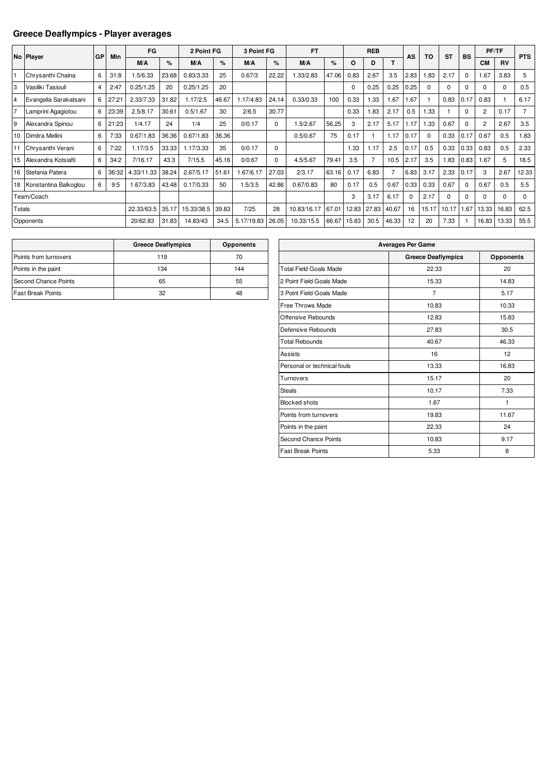#### **Greece Deaflympics - Player averages**

|                |                       |                |       | FG         |       | 2 Point FG |       | 3 Point FG |          | <b>FT</b>   |       |          | <b>REB</b> |       |          |          | <b>ST</b> |           |                | PF/TF    |                |
|----------------|-----------------------|----------------|-------|------------|-------|------------|-------|------------|----------|-------------|-------|----------|------------|-------|----------|----------|-----------|-----------|----------------|----------|----------------|
|                | No Player             | GP             | Min   | M/A        | %     | M/A        | %     | M/A        | %        | M/A         | %     | O        | D          |       | AS       | TO       |           | <b>BS</b> | <b>CM</b>      | RV       | <b>PTS</b>     |
|                | Chrysanthi Chaina     | 6              | 31:8  | .5/6.33    | 23.68 | 0.83/3.33  | 25    | 0.67/3     | 22.22    | .33/2.83    | 47.06 | 0.83     | 2.67       | 3.5   | 2.83     | .83      | 2.17      | $\Omega$  | 1.67           | 3.83     | 5              |
| 3              | Vasiliki Tasiouli     | $\overline{4}$ | 2:47  | 0.25/1.25  | 20    | 0.25/1.25  | 20    |            |          |             |       | $\Omega$ | 0.25       | 0.25  | 0.25     | $\Omega$ | $\Omega$  | $\Omega$  | $\Omega$       | $\Omega$ | 0.5            |
| $\overline{4}$ | Evangelia Sarakatsani | 6              | 27:21 | 2.33/7.33  | 31.82 | 1.17/2.5   | 46.67 | 1.17/4.83  | 24.14    | 0.33/0.33   | 100   | 0.33     | 1.33       | 1.67  | .67      |          | 0.83      | 0.17      | 0.83           |          | 6.17           |
| 17             | Lamprini Agagiotou    | 6              | 23:39 | 2.5/8.17   | 30.61 | 0.5/1.67   | 30    | 2/6.5      | 30.77    |             |       | 0.33     | 1.83       | 2.17  | 0.5      | 1.33     |           | $\Omega$  | $\overline{2}$ | 0.17     | $\overline{7}$ |
| 9              | Alexandra Spinou      | 6              | 21:23 | 1/4.17     | 24    | 1/4        | 25    | 0/0.17     | 0        | 1.5/2.67    | 56.25 | 3        | 2.17       | 5.17  | 1.17     | .33      | 0.67      | $\Omega$  | 2              | 2.67     | 3.5            |
| 10             | Dimitra Mellini       | 6              | 7:33  | 0.67/1.83  | 36.36 | 0.67/1.83  | 36.36 |            |          | 0.5/0.67    | 75    | 0.17     |            | 1.17  | 0.17     | $\Omega$ | 0.33      | 0.17      | 0.67           | 0.5      | 1.83           |
|                | Chrysanthi Verani     | 6              | 7:22  | 1.17/3.5   | 33.33 | 1.17/3.33  | 35    | 0/0.17     | $\Omega$ |             |       | 1.33     | 1.17       | 2.5   | 0.17     | 0.5      | 0.33      | 0.33      | 0.83           | 0.5      | 2.33           |
| 15             | Alexandra Kotsiafti   | 6              | 34:2  | 7/16.17    | 43.3  | 7/15.5     | 45.16 | 0/0.67     | $\Omega$ | 4.5/5.67    | 79.41 | 3.5      |            | 10.5  | 2.17     | 3.5      | 1.83      | 0.83      | 1.67           | 5        | 18.5           |
| 16             | Stefania Patera       | 6              | 36:32 | 4.33/11.33 | 38.24 | 2.67/5.17  | 51.61 | .67/6.17   | 27.03    | 2/3.17      | 63.16 | 0.17     | 6.83       |       | 6.83     | 3.17     | 2.33      | 0.17      | 3              | 2.67     | 12.33          |
| 18             | Konstantina Balkoglou | 6              | 9:5   | 1.67/3.83  | 43.48 | 0.17/0.33  | 50    | 1.5/3.5    | 42.86    | 0.67/0.83   | 80    | 0.17     | 0.5        | 0.67  | 0.33     | 0.33     | 0.67      | $\Omega$  | 0.67           | 0.5      | 5.5            |
|                | Team/Coach            |                |       |            |       |            |       |            |          |             |       | 3        | 3.17       | 6.17  | $\Omega$ | 2.17     | $\Omega$  | $\Omega$  | $\Omega$       | $\Omega$ | 0              |
| Totals         |                       |                |       | 22.33/63.5 | 35.17 | 15.33/38.5 | 39.83 | 7/25       | 28       | 10.83/16.17 | 67.01 | 12.83    | 27.83      | 40.67 | 16       | 15.17    | 10.17     | .67       | 13.33          | 16.83    | 62.5           |
|                | Opponents             |                |       | 20/62.83   | 31.83 | 14.83/43   | 34.5  | 5.17/19.83 | 26.05    | 10.33/15.5  | 66.67 | 15.83    | 30.5       | 46.33 | 12       | 20       | 7.33      |           | 16.83          | 13.33    | 55.5           |

|                          | <b>Greece Deaflympics</b> | <b>Opponents</b> |
|--------------------------|---------------------------|------------------|
| Points from turnovers    | 119                       | 70               |
| Points in the paint      | 134                       | 144              |
| Second Chance Points     | 65                        | 55               |
| <b>Fast Break Points</b> | 32                        | 48               |

| <b>Averages Per Game</b>      |                           |                  |  |  |  |  |  |  |  |
|-------------------------------|---------------------------|------------------|--|--|--|--|--|--|--|
|                               | <b>Greece Deaflympics</b> | <b>Opponents</b> |  |  |  |  |  |  |  |
| <b>Total Field Goals Made</b> | 22.33                     | 20               |  |  |  |  |  |  |  |
| 2 Point Field Goals Made      | 15.33                     | 14.83            |  |  |  |  |  |  |  |
| 3 Point Field Goals Made      | 7                         | 5.17             |  |  |  |  |  |  |  |
| <b>Free Throws Made</b>       | 10.83                     | 10.33            |  |  |  |  |  |  |  |
| Offensive Rebounds            | 12.83                     | 15.83            |  |  |  |  |  |  |  |
| Defensive Rebounds            | 27.83                     | 30.5             |  |  |  |  |  |  |  |
| <b>Total Rebounds</b>         | 40.67                     | 46.33            |  |  |  |  |  |  |  |
| <b>Assists</b>                | 16                        | 12               |  |  |  |  |  |  |  |
| Personal or technical fouls   | 13.33                     | 16.83            |  |  |  |  |  |  |  |
| Turnovers                     | 15.17                     | 20               |  |  |  |  |  |  |  |
| <b>Steals</b>                 | 10.17                     | 7.33             |  |  |  |  |  |  |  |
| <b>Blocked shots</b>          | 1.67                      | 1                |  |  |  |  |  |  |  |
| Points from turnovers         | 19.83                     | 11.67            |  |  |  |  |  |  |  |
| Points in the paint           | 22.33                     | 24               |  |  |  |  |  |  |  |
| Second Chance Points          | 10.83                     | 9.17             |  |  |  |  |  |  |  |
| <b>Fast Break Points</b>      | 5.33                      | 8                |  |  |  |  |  |  |  |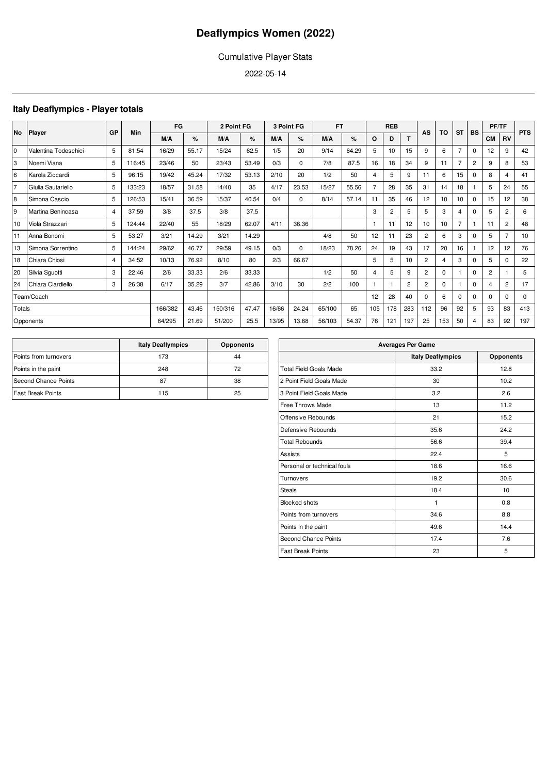### Cumulative Player Stats

2022-05-14

### **Italy Deaflympics - Player totals**

|           | Player               | GP             | Min    | FG      |       | 2 Point FG |       |       | 3 Point FG | <b>FT</b> |       |     | <b>REB</b>     |                | AS             | TO  | <b>ST</b>      | <b>BS</b>      | PF/TF          |                | <b>PTS</b>  |
|-----------|----------------------|----------------|--------|---------|-------|------------|-------|-------|------------|-----------|-------|-----|----------------|----------------|----------------|-----|----------------|----------------|----------------|----------------|-------------|
| <b>No</b> |                      |                |        | M/A     | %     | M/A        | %     | M/A   | %          | M/A       | %     | O   | D              | т              |                |     |                |                | <b>CM</b>      | <b>RV</b>      |             |
| l0        | Valentina Todeschici | 5              | 81:54  | 16/29   | 55.17 | 15/24      | 62.5  | 1/5   | 20         | 9/14      | 64.29 | 5   | 10             | 15             | 9              | 6   | $\overline{7}$ | $\mathbf 0$    | 12             | 9              | 42          |
| 3         | Noemi Viana          | 5              | 116:45 | 23/46   | 50    | 23/43      | 53.49 | 0/3   | $\Omega$   | 7/8       | 87.5  | 16  | 18             | 34             | 9              | 11  | 7              | $\overline{c}$ | 9              | 8              | 53          |
| 6         | Karola Ziccardi      | 5              | 96:15  | 19/42   | 45.24 | 17/32      | 53.13 | 2/10  | 20         | 1/2       | 50    | 4   | 5              | 9              | 11             | 6   | 15             | $\mathbf 0$    | 8              | 4              | 41          |
| 17        | Giulia Sautariello   | 5              | 133:23 | 18/57   | 31.58 | 14/40      | 35    | 4/17  | 23.53      | 15/27     | 55.56 |     | 28             | 35             | 31             | 14  | 18             |                | 5              | 24             | 55          |
| 8         | Simona Cascio        | 5              | 126:53 | 15/41   | 36.59 | 15/37      | 40.54 | 0/4   | $\Omega$   | 8/14      | 57.14 | 11  | 35             | 46             | 12             | 10  | 10             | $\mathbf 0$    | 15             | 12             | 38          |
| 9         | Martina Benincasa    | 4              | 37:59  | 3/8     | 37.5  | 3/8        | 37.5  |       |            |           |       | 3   | $\overline{c}$ | 5              | 5              | 3   | 4              | $\mathbf 0$    | 5              | 2              | 6           |
| 10        | Viola Strazzari      | 5              | 124:44 | 22/40   | 55    | 18/29      | 62.07 | 4/11  | 36.36      |           |       |     | 11             | 12             | 10             | 10  | 7              |                | 11             | $\overline{2}$ | 48          |
| 11        | Anna Bonomi          | 5              | 53:27  | 3/21    | 14.29 | 3/21       | 14.29 |       |            | 4/8       | 50    | 12  | 11             | 23             | $\overline{c}$ | 6   | 3              | $\mathbf 0$    | 5              | 7              | 10          |
| 13        | Simona Sorrentino    | 5              | 144:24 | 29/62   | 46.77 | 29/59      | 49.15 | 0/3   | 0          | 18/23     | 78.26 | 24  | 19             | 43             | 17             | 20  | 16             |                | 12             | 12             | 76          |
| 18        | Chiara Chiosi        | $\overline{4}$ | 34:52  | 10/13   | 76.92 | 8/10       | 80    | 2/3   | 66.67      |           |       | 5   | 5              | 10             | $\overline{2}$ |     | 3              | $\mathbf 0$    | 5              | $\Omega$       | 22          |
| 20        | Silvia Squotti       | 3              | 22:46  | 2/6     | 33.33 | 2/6        | 33.33 |       |            | 1/2       | 50    | 4   | 5              | 9              | $\overline{2}$ | 0   |                | $\Omega$       | $\overline{2}$ |                | 5           |
| 24        | Chiara Ciardiello    | 3              | 26:38  | 6/17    | 35.29 | 3/7        | 42.86 | 3/10  | 30         | 2/2       | 100   |     | 1              | $\overline{2}$ | $\overline{2}$ | 0   |                | $\mathbf 0$    | 4              | $\overline{2}$ | 17          |
|           | Team/Coach           |                |        |         |       |            |       |       |            |           |       | 12  | 28             | 40             | 0              | 6   | $\Omega$       | $\mathbf 0$    | $\Omega$       | $\Omega$       | $\mathbf 0$ |
| Totals    |                      |                |        | 166/382 | 43.46 | 150/316    | 47.47 | 16/66 | 24.24      | 65/100    | 65    | 105 | 178            | 283            | 112            | 96  | 92             | 5              | 93             | 83             | 413         |
|           | Opponents            |                |        | 64/295  | 21.69 | 51/200     | 25.5  | 13/95 | 13.68      | 56/103    | 54.37 | 76  | 121            | 197            | 25             | 153 | 50             | 4              | 83             | 92             | 197         |

|                          | <b>Italy Deaflympics</b> | <b>Opponents</b> |
|--------------------------|--------------------------|------------------|
| Points from turnovers    | 173                      | 44               |
| Points in the paint      | 248                      | 72               |
| Second Chance Points     | 87                       | 38               |
| <b>Fast Break Points</b> | 115                      | 25               |

| <b>Averages Per Game</b>      |                          |                  |  |  |  |  |  |  |  |  |
|-------------------------------|--------------------------|------------------|--|--|--|--|--|--|--|--|
|                               | <b>Italy Deaflympics</b> | <b>Opponents</b> |  |  |  |  |  |  |  |  |
| <b>Total Field Goals Made</b> | 33.2                     | 12.8             |  |  |  |  |  |  |  |  |
| 2 Point Field Goals Made      | 30                       | 10.2             |  |  |  |  |  |  |  |  |
| 3 Point Field Goals Made      | 3.2                      | 2.6              |  |  |  |  |  |  |  |  |
| <b>Free Throws Made</b>       | 13                       | 11.2             |  |  |  |  |  |  |  |  |
| Offensive Rebounds            | 21                       | 15.2             |  |  |  |  |  |  |  |  |
| Defensive Rebounds            | 35.6                     | 24.2             |  |  |  |  |  |  |  |  |
| <b>Total Rebounds</b>         | 56.6                     | 39.4             |  |  |  |  |  |  |  |  |
| Assists                       | 22.4                     | 5                |  |  |  |  |  |  |  |  |
| Personal or technical fouls   | 18.6                     | 16.6             |  |  |  |  |  |  |  |  |
| Turnovers                     | 19.2                     | 30.6             |  |  |  |  |  |  |  |  |
| <b>Steals</b>                 | 18.4                     | 10               |  |  |  |  |  |  |  |  |
| <b>Blocked shots</b>          | $\mathbf{1}$             | 0.8              |  |  |  |  |  |  |  |  |
| Points from turnovers         | 34.6                     | 8.8              |  |  |  |  |  |  |  |  |
| Points in the paint           | 49.6                     | 14.4             |  |  |  |  |  |  |  |  |
| <b>Second Chance Points</b>   | 17.4                     | 7.6              |  |  |  |  |  |  |  |  |
| <b>Fast Break Points</b>      | 23                       | 5                |  |  |  |  |  |  |  |  |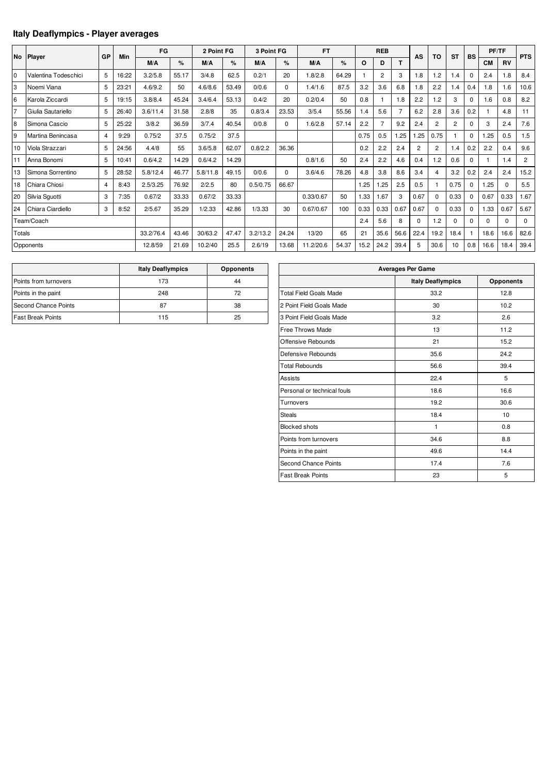### **Italy Deaflympics - Player averages**

|                |                      |    |       | FG        |       | 2 Point FG |       | 3 Point FG |          | <b>FT</b> |       |         | <b>REB</b>     |                |                |                 |                |             |           | PF/TF     |                |
|----------------|----------------------|----|-------|-----------|-------|------------|-------|------------|----------|-----------|-------|---------|----------------|----------------|----------------|-----------------|----------------|-------------|-----------|-----------|----------------|
|                | No Player            | GP | Min   | M/A       | %     | M/A        | $\%$  | M/A        | ℅        | M/A       | %     | $\circ$ | D              | т              | AS             | TO              | <b>ST</b>      | <b>BS</b>   | <b>CM</b> | <b>RV</b> | <b>PTS</b>     |
|                |                      |    |       |           |       |            |       |            |          |           |       |         |                |                |                |                 |                |             |           |           |                |
| $\overline{0}$ | Valentina Todeschici | 5  | 16:22 | 3.2/5.8   | 55.17 | 3/4.8      | 62.5  | 0.2/1      | 20       | 1.8/2.8   | 64.29 | 1       | $\overline{2}$ | 3              | 1.8            | 1.2             | 1.4            | $\Omega$    | 2.4       | 1.8       | 8.4            |
| 3              | Noemi Viana          | 5  | 23:21 | 4.6/9.2   | 50    | 4.6/8.6    | 53.49 | 0/0.6      | $\Omega$ | 1.4/1.6   | 87.5  | 3.2     | 3.6            | 6.8            | 1.8            | 2.2             | 1.4            | 0.4         | 1.8       | 1.6       | 10.6           |
| 6              | Karola Ziccardi      | 5  | 19:15 | 3.8/8.4   | 45.24 | 3.4/6.4    | 53.13 | 0.4/2      | 20       | 0.2/0.4   | 50    | 0.8     |                | 1.8            | 2.2            | $\overline{.2}$ | 3              | $\Omega$    | 1.6       | 0.8       | 8.2            |
| 17             | Giulia Sautariello   | 5  | 26:40 | 3.6/11.4  | 31.58 | 2.8/8      | 35    | 0.8/3.4    | 23.53    | 3/5.4     | 55.56 | 1.4     | 5.6            | $\overline{7}$ | 6.2            | 2.8             | 3.6            | 0.2         |           | 4.8       | 11             |
| $\overline{8}$ | Simona Cascio        | 5  | 25:22 | 3/8.2     | 36.59 | 3/7.4      | 40.54 | 0/0.8      | $\Omega$ | 1.6/2.8   | 57.14 | 2.2     |                | 9.2            | 2.4            | $\overline{2}$  | $\overline{c}$ | $\Omega$    | 3         | 2.4       | 7.6            |
| $\overline{9}$ | Martina Benincasa    | 4  | 9:29  | 0.75/2    | 37.5  | 0.75/2     | 37.5  |            |          |           |       | 0.75    | 0.5            | 1.25           | 1.25           | 0.75            |                | 0           | 1.25      | 0.5       | 1.5            |
| 10             | Viola Strazzari      | 5  | 24:56 | 4.4/8     | 55    | 3.6/5.8    | 62.07 | 0.8/2.2    | 36.36    |           |       | 0.2     | 2.2            | 2.4            | $\overline{2}$ | $\overline{2}$  | 1.4            | 0.2         | 2.2       | 0.4       | 9.6            |
|                | Anna Bonomi          | 5  | 10:41 | 0.6/4.2   | 14.29 | 0.6/4.2    | 14.29 |            |          | 0.8/1.6   | 50    | 2.4     | 2.2            | 4.6            | 0.4            | 1.2             | 0.6            | $\Omega$    |           | 1.4       | $\overline{2}$ |
| 13             | Simona Sorrentino    | 5  | 28:52 | 5.8/12.4  | 46.77 | 5.8/11.8   | 49.15 | 0/0.6      | $\Omega$ | 3.6/4.6   | 78.26 | 4.8     | 3.8            | 8.6            | 3.4            | 4               | 3.2            | 0.2         | 2.4       | 2.4       | 15.2           |
| 18             | Chiara Chiosi        | 4  | 8:43  | 2.5/3.25  | 76.92 | 2/2.5      | 80    | 0.5/0.75   | 66.67    |           |       | 1.25    | .25            | 2.5            | 0.5            |                 | 0.75           | $\Omega$    | 1.25      | $\Omega$  | 5.5            |
| 20             | Silvia Sguotti       | 3  | 7:35  | 0.67/2    | 33.33 | 0.67/2     | 33.33 |            |          | 0.33/0.67 | 50    | 1.33    | .67            | 3              | 0.67           | $\Omega$        | 0.33           | $\mathbf 0$ | 0.67      | 0.33      | 1.67           |
| 24             | Chiara Ciardiello    | 3  | 8:52  | 2/5.67    | 35.29 | 1/2.33     | 42.86 | 1/3.33     | 30       | 0.67/0.67 | 100   | 0.33    | 0.33           | 0.67           | 0.67           | $\Omega$        | 0.33           | $\mathbf 0$ | 1.33      | 0.67      | 5.67           |
|                | Team/Coach           |    |       |           |       |            |       |            |          |           |       | 2.4     | 5.6            | 8              | 0              | 1.2             | 0              | $\Omega$    | 0         | $\Omega$  | $\Omega$       |
| Totals         |                      |    |       | 33.2/76.4 | 43.46 | 30/63.2    | 47.47 | 3.2/13.2   | 24.24    | 13/20     | 65    | 21      | 35.6           | 56.6           | 22.4           | 19.2            | 18.4           |             | 18.6      | 16.6      | 82.6           |
|                | Opponents            |    |       | 12.8/59   | 21.69 | 10.2/40    | 25.5  | 2.6/19     | 13.68    | 11.2/20.6 | 54.37 | 15.2    | 24.2           | 39.4           | 5              | 30.6            | 10             | 0.8         | 16.6      | 18.4      | 39.4           |

|                          | <b>Italy Deaflympics</b> | <b>Opponents</b> |
|--------------------------|--------------------------|------------------|
| Points from turnovers    | 173                      | 44               |
| Points in the paint      | 248                      | 72               |
| Second Chance Points     | 87                       | 38               |
| <b>Fast Break Points</b> | 115                      | 25               |

| <b>Averages Per Game</b>      |                          |                  |  |  |  |  |  |  |  |  |
|-------------------------------|--------------------------|------------------|--|--|--|--|--|--|--|--|
|                               | <b>Italy Deaflympics</b> | <b>Opponents</b> |  |  |  |  |  |  |  |  |
| <b>Total Field Goals Made</b> | 33.2                     | 12.8             |  |  |  |  |  |  |  |  |
| 2 Point Field Goals Made      | 30                       | 10.2             |  |  |  |  |  |  |  |  |
| 3 Point Field Goals Made      | 3.2                      | 2.6              |  |  |  |  |  |  |  |  |
| Free Throws Made              | 13                       | 11.2             |  |  |  |  |  |  |  |  |
| Offensive Rebounds            | 21                       | 15.2             |  |  |  |  |  |  |  |  |
| Defensive Rebounds            | 35.6                     | 24.2             |  |  |  |  |  |  |  |  |
| <b>Total Rebounds</b>         | 56.6                     | 39.4             |  |  |  |  |  |  |  |  |
| <b>Assists</b>                | 22.4                     | 5                |  |  |  |  |  |  |  |  |
| Personal or technical fouls   | 18.6                     | 16.6             |  |  |  |  |  |  |  |  |
| Turnovers                     | 19.2                     | 30.6             |  |  |  |  |  |  |  |  |
| <b>Steals</b>                 | 18.4                     | 10               |  |  |  |  |  |  |  |  |
| <b>Blocked shots</b>          | 1                        | 0.8              |  |  |  |  |  |  |  |  |
| Points from turnovers         | 34.6                     | 8.8              |  |  |  |  |  |  |  |  |
| Points in the paint           | 49.6                     | 14.4             |  |  |  |  |  |  |  |  |
| Second Chance Points          | 17.4                     | 7.6              |  |  |  |  |  |  |  |  |
| <b>Fast Break Points</b>      | 23                       | 5                |  |  |  |  |  |  |  |  |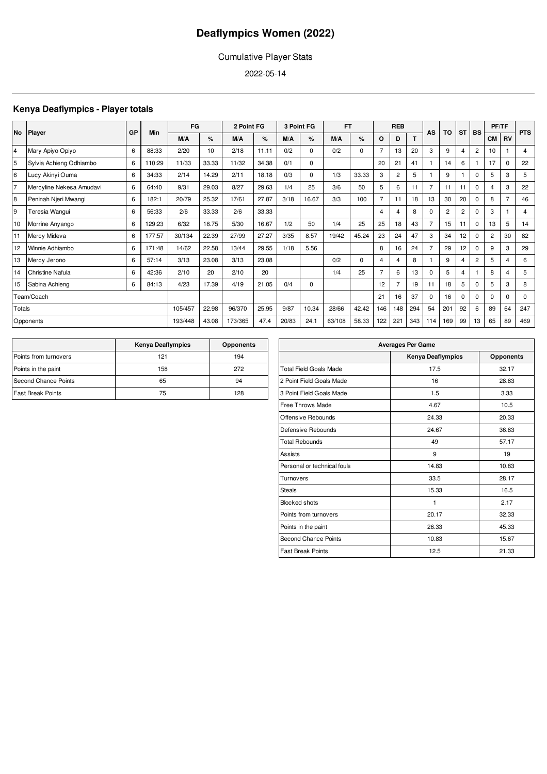### Cumulative Player Stats

2022-05-14

### **Kenya Deaflympics - Player totals**

|                |                          | GP | Min    |         | FG<br>2 Point FG |         |       |       | 3 Point FG | FT.    |             |                | <b>REB</b>     |     | AS             | TO             | <b>ST</b>      | <b>BS</b>      | PF/TF          |                | <b>PTS</b>  |
|----------------|--------------------------|----|--------|---------|------------------|---------|-------|-------|------------|--------|-------------|----------------|----------------|-----|----------------|----------------|----------------|----------------|----------------|----------------|-------------|
|                | No Player                |    |        | M/A     | %                | M/A     | %     | M/A   | %          | M/A    | %           | O              | D              |     |                |                |                |                | <b>CM</b>      | <b>RV</b>      |             |
| 14             | Mary Apiyo Opiyo         | 6  | 88:33  | 2/20    | 10               | 2/18    | 11.11 | 0/2   | $\Omega$   | 0/2    | $\mathbf 0$ |                | 13             | 20  | 3              | 9              | 4              | $\overline{2}$ | 10             |                | 4           |
| 5              | Sylvia Achieng Odhiambo  | 6  | 110:29 | 11/33   | 33.33            | 11/32   | 34.38 | 0/1   | $\Omega$   |        |             | 20             | 21             | 41  |                | 14             | 6              |                | 17             | $\Omega$       | 22          |
| 6              | Lucy Akinyi Ouma         | 6  | 34:33  | 2/14    | 14.29            | 2/11    | 18.18 | 0/3   | $\Omega$   | 1/3    | 33.33       | 3              | $\overline{2}$ | 5   |                | 9              |                | $\Omega$       | 5              | 3              | 5           |
| 7              | Mercyline Nekesa Amudavi | 6  | 64:40  | 9/31    | 29.03            | 8/27    | 29.63 | 1/4   | 25         | 3/6    | 50          | 5              | 6              | 11  | $\overline{7}$ | 11             | 11             | $\Omega$       | 4              | 3              | 22          |
| $\overline{8}$ | Peninah Njeri Mwangi     | 6  | 182:1  | 20/79   | 25.32            | 17/61   | 27.87 | 3/18  | 16.67      | 3/3    | 100         | $\overline{7}$ | 11             | 18  | 13             | 30             | 20             | $\Omega$       | 8              | $\overline{7}$ | 46          |
| 9              | Teresia Wangui           | 6  | 56:33  | 2/6     | 33.33            | 2/6     | 33.33 |       |            |        |             | 4              | 4              | 8   | 0              | $\overline{c}$ | $\overline{2}$ | $\Omega$       | 3              |                | 4           |
| 10             | Morrine Anyango          | 6  | 129:23 | 6/32    | 18.75            | 5/30    | 16.67 | 1/2   | 50         | 1/4    | 25          | 25             | 18             | 43  | $\overline{7}$ | 15             | 11             | $\Omega$       | 13             | 5              | 14          |
| 11             | Mercy Mideva             | 6  | 177:57 | 30/134  | 22.39            | 27/99   | 27.27 | 3/35  | 8.57       | 19/42  | 45.24       | 23             | 24             | 47  | 3              | 34             | 12             | $\Omega$       | $\overline{2}$ | 30             | 82          |
| 12             | Winnie Adhiambo          | 6  | 171:48 | 14/62   | 22.58            | 13/44   | 29.55 | 1/18  | 5.56       |        |             | 8              | 16             | 24  | $\overline{7}$ | 29             | 12             | 0              | 9              | 3              | 29          |
| 13             | Mercy Jerono             | 6  | 57:14  | 3/13    | 23.08            | 3/13    | 23.08 |       |            | 0/2    | $\mathbf 0$ | 4              | 4              | 8   |                | 9              | 4              | $\overline{2}$ | 5              | 4              | 6           |
| 14             | <b>Christine Nafula</b>  | 6  | 42:36  | 2/10    | 20               | 2/10    | 20    |       |            | 1/4    | 25          |                | 6              | 13  | 0              | 5              | 4              |                | 8              | 4              | 5           |
| 15             | Sabina Achieng           | 6  | 84:13  | 4/23    | 17.39            | 4/19    | 21.05 | 0/4   | 0          |        |             | 12             | $\overline{7}$ | 19  | 11             | 18             | 5              | $\Omega$       | 5              | 3              | 8           |
|                | Team/Coach               |    |        |         |                  |         |       |       |            |        |             | 21             | 16             | 37  | 0              | 16             | $\Omega$       | $\Omega$       | $\Omega$       | 0              | $\mathbf 0$ |
| Totals         |                          |    |        | 105/457 | 22.98            | 96/370  | 25.95 | 9/87  | 10.34      | 28/66  | 42.42       | 146            | 148            | 294 | 54             | 201            | 92             | 6              | 89             | 64             | 247         |
|                | Opponents                |    |        | 193/448 | 43.08            | 173/365 | 47.4  | 20/83 | 24.1       | 63/108 | 58.33       | 122            | 221            | 343 | 114            | 169            | 99             | 13             | 65             | 89             | 469         |

|                             | <b>Kenya Deaflympics</b> | <b>Opponents</b> |
|-----------------------------|--------------------------|------------------|
| Points from turnovers       | 121                      | 194              |
| Points in the paint         | 158                      | 272              |
| <b>Second Chance Points</b> | 65                       | 94               |
| <b>Fast Break Points</b>    | 75                       | 128              |

| <b>Averages Per Game</b>      |                   |                  |  |  |  |  |  |  |  |
|-------------------------------|-------------------|------------------|--|--|--|--|--|--|--|
|                               | Kenya Deaflympics | <b>Opponents</b> |  |  |  |  |  |  |  |
| <b>Total Field Goals Made</b> | 17.5              | 32.17            |  |  |  |  |  |  |  |
| 2 Point Field Goals Made      | 16                | 28.83            |  |  |  |  |  |  |  |
| 3 Point Field Goals Made      | 1.5               | 3.33             |  |  |  |  |  |  |  |
| Free Throws Made              | 4.67              | 10.5             |  |  |  |  |  |  |  |
| Offensive Rebounds            | 24.33             | 20.33            |  |  |  |  |  |  |  |
| Defensive Rebounds            | 24.67             | 36.83            |  |  |  |  |  |  |  |
| <b>Total Rebounds</b>         | 49                | 57.17            |  |  |  |  |  |  |  |
| Assists                       | 9                 | 19               |  |  |  |  |  |  |  |
| Personal or technical fouls   | 14.83             | 10.83            |  |  |  |  |  |  |  |
| Turnovers                     | 33.5              | 28.17            |  |  |  |  |  |  |  |
| <b>Steals</b>                 | 15.33             | 16.5             |  |  |  |  |  |  |  |
| <b>Blocked shots</b>          | 1                 | 2.17             |  |  |  |  |  |  |  |
| Points from turnovers         | 20.17             | 32.33            |  |  |  |  |  |  |  |
| Points in the paint           | 26.33             | 45.33            |  |  |  |  |  |  |  |
| <b>Second Chance Points</b>   | 10.83             | 15.67            |  |  |  |  |  |  |  |
| <b>Fast Break Points</b>      | 12.5              | 21.33            |  |  |  |  |  |  |  |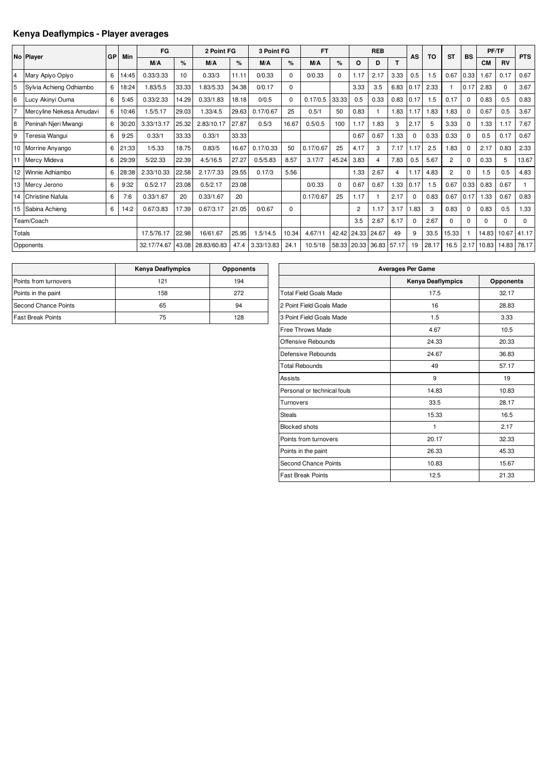### **Kenya Deaflympics - Player averages**

|                |                          |    |       | FG          |       | 2 Point FG  |       | 3 Point FG |          | <b>FT</b> |       |                | <b>REB</b>     |       |           |           |                |             |           | PF/TF     |             |
|----------------|--------------------------|----|-------|-------------|-------|-------------|-------|------------|----------|-----------|-------|----------------|----------------|-------|-----------|-----------|----------------|-------------|-----------|-----------|-------------|
|                | No Player                | GP | Min   |             |       |             |       |            |          |           |       |                |                |       | <b>AS</b> | <b>TO</b> | <b>ST</b>      | <b>BS</b>   |           |           | <b>PTS</b>  |
|                |                          |    |       | M/A         | %     | M/A         | %     | M/A        | %        | M/A       | %     | O              | D              | T.    |           |           |                |             | <b>CM</b> | <b>RV</b> |             |
| $\overline{4}$ | Mary Apiyo Opiyo         | 6  | 14:45 | 0.33/3.33   | 10    | 0.33/3      | 11.11 | 0/0.33     | $\Omega$ | 0/0.33    | 0     | 1.17           | 2.17           | 3.33  | 0.5       | 1.5       | 0.67           | 0.33        | 1.67      | 0.17      | 0.67        |
| 5              | Sylvia Achieng Odhiambo  | 6  | 18:24 | 1.83/5.5    | 33.33 | 1.83/5.33   | 34.38 | 0/0.17     | $\Omega$ |           |       | 3.33           | 3.5            | 6.83  | 0.17      | 2.33      |                | 0.17        | 2.83      | $\Omega$  | 3.67        |
| 6              | Lucy Akinyi Ouma         | 6  | 5:45  | 0.33/2.33   | 14.29 | 0.33/1.83   | 18.18 | 0/0.5      | $\Omega$ | 0.17/0.5  | 33.33 | 0.5            | 0.33           | 0.83  | 0.17      | 1.5       | 0.17           | $\mathbf 0$ | 0.83      | 0.5       | 0.83        |
| 17             | Mercyline Nekesa Amudavi | 6  | 10:46 | 1.5/5.17    | 29.03 | 1.33/4.5    | 29.63 | 0.17/0.67  | 25       | 0.5/1     | 50    | 0.83           |                | 1.83  | 1.17      | 1.83      | .83            | $\mathbf 0$ | 0.67      | 0.5       | 3.67        |
| 8              | Peninah Njeri Mwangi     | 6  | 30:20 | 3.33/13.17  | 25.32 | 2.83/10.17  | 27.87 | 0.5/3      | 16.67    | 0.5/0.5   | 100   | 1.17           | 1.83           | 3     | 2.17      | 5         | 3.33           | $\mathbf 0$ | .33       | 1.17      | 7.67        |
| 9              | Teresia Wangui           | 6  | 9:25  | 0.33/1      | 33.33 | 0.33/1      | 33.33 |            |          |           |       | 0.67           | 0.67           | .33   | $\Omega$  | 0.33      | 0.33           | $\Omega$    | 0.5       | 0.17      | 0.67        |
|                | 10 Morrine Anyango       | 6  | 21:33 | 1/5.33      | 18.75 | 0.83/5      | 16.67 | 0.17/0.33  | 50       | 0.17/0.67 | 25    | 4.17           | 3              | 7.17  | 1.17      | 2.5       | .83            | $\mathbf 0$ | 2.17      | 0.83      | 2.33        |
|                | 11 Mercy Mideva          | 6  | 29:39 | 5/22.33     | 22.39 | 4.5/16.5    | 27.27 | 0.5/5.83   | 8.57     | 3.17/7    | 45.24 | 3.83           | $\overline{4}$ | 7.83  | 0.5       | 5.67      | $\overline{2}$ | $\mathbf 0$ | 0.33      | 5         | 13.67       |
|                | 12 Winnie Adhiambo       | 6  | 28:38 | 2.33/10.33  | 22.58 | 2.17/7.33   | 29.55 | 0.17/3     | 5.56     |           |       | 1.33           | 2.67           | 4     | 1.17      | 4.83      | $\overline{2}$ | $\Omega$    | 1.5       | 0.5       | 4.83        |
|                | 13 Mercy Jerono          | 6  | 9:32  | 0.5/2.17    | 23.08 | 0.5/2.17    | 23.08 |            |          | 0/0.33    | 0     | 0.67           | 0.67           | 1.33  | 0.17      | 1.5       | 0.67           | 0.33        | 0.83      | 0.67      |             |
|                | 14 Christine Nafula      | 6  | 7:6   | 0.33/1.67   | 20    | 0.33/1.67   | 20    |            |          | 0.17/0.67 | 25    | 1.17           |                | 2.17  | $\Omega$  | 0.83      | 0.67           | 0.17        | 1.33      | 0.67      | 0.83        |
|                | 15 Sabina Achieng        | 6  | 14:2  | 0.67/3.83   | 17.39 | 0.67/3.17   | 21.05 | 0/0.67     | $\Omega$ |           |       | $\overline{2}$ | 1.17           | 3.17  | .83       | 3         | 0.83           | $\Omega$    | 0.83      | 0.5       | 1.33        |
|                | Team/Coach               |    |       |             |       |             |       |            |          |           |       | 3.5            | 2.67           | 6.17  | $\Omega$  | 2.67      | $\Omega$       | $\Omega$    | 0         | $\Omega$  | $\mathbf 0$ |
| Totals         |                          |    |       | 17.5/76.17  | 22.98 | 16/61.67    | 25.95 | 1.5/14.5   | 10.34    | 4.67/11   | 42.42 | 24.33 24.67    |                | 49    | 9         | 33.5      | 15.33          |             | 14.83     | 10.67     | 41.17       |
|                | Opponents                |    |       | 32.17/74.67 | 43.08 | 28.83/60.83 | 47.4  | 3.33/13.83 | 24.1     | 10.5/18   | 58.33 | 20.33          | 36.83          | 57.17 | 19        | 28.17     | 16.5           | 2.17        | 10.83     | 14.83     | 78.17       |

|                          | <b>Kenya Deaflympics</b> | <b>Opponents</b> |
|--------------------------|--------------------------|------------------|
| Points from turnovers    | 121                      | 194              |
| Points in the paint      | 158                      | 272              |
| Second Chance Points     | 65                       | 94               |
| <b>Fast Break Points</b> | 75                       | 128              |

| <b>Averages Per Game</b>      |                          |                  |  |  |  |  |  |  |  |  |
|-------------------------------|--------------------------|------------------|--|--|--|--|--|--|--|--|
|                               | <b>Kenya Deaflympics</b> | <b>Opponents</b> |  |  |  |  |  |  |  |  |
| <b>Total Field Goals Made</b> | 17.5                     | 32.17            |  |  |  |  |  |  |  |  |
| 2 Point Field Goals Made      | 16                       | 28.83            |  |  |  |  |  |  |  |  |
| 3 Point Field Goals Made      | 1.5                      | 3.33             |  |  |  |  |  |  |  |  |
| Free Throws Made              | 4.67                     | 10.5             |  |  |  |  |  |  |  |  |
| Offensive Rebounds            | 24.33                    | 20.33            |  |  |  |  |  |  |  |  |
| Defensive Rebounds            | 24.67                    | 36.83            |  |  |  |  |  |  |  |  |
| <b>Total Rebounds</b>         | 49                       | 57.17            |  |  |  |  |  |  |  |  |
| Assists                       | 9                        | 19               |  |  |  |  |  |  |  |  |
| Personal or technical fouls   | 14.83                    | 10.83            |  |  |  |  |  |  |  |  |
| Turnovers                     | 33.5                     | 28.17            |  |  |  |  |  |  |  |  |
| <b>Steals</b>                 | 15.33                    | 16.5             |  |  |  |  |  |  |  |  |
| <b>Blocked shots</b>          | 1                        | 2.17             |  |  |  |  |  |  |  |  |
| Points from turnovers         | 20.17                    | 32.33            |  |  |  |  |  |  |  |  |
| Points in the paint           | 26.33                    | 45.33            |  |  |  |  |  |  |  |  |
| Second Chance Points          | 10.83                    | 15.67            |  |  |  |  |  |  |  |  |
| <b>Fast Break Points</b>      | 12.5                     | 21.33            |  |  |  |  |  |  |  |  |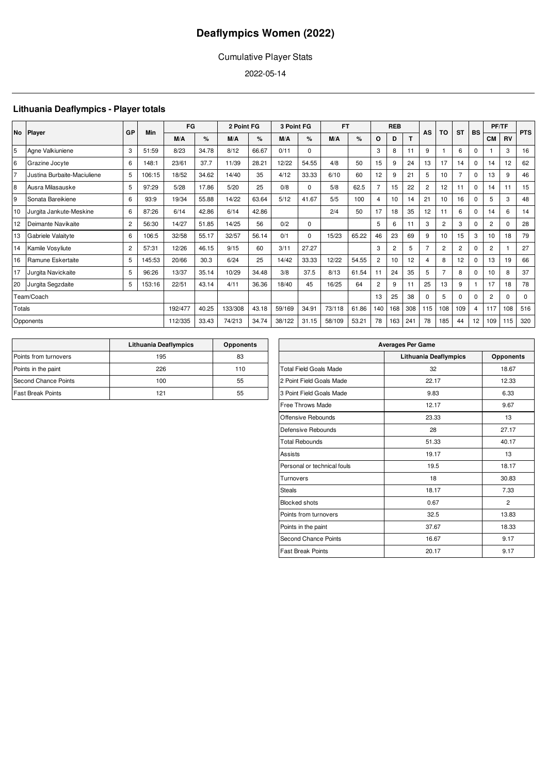### Cumulative Player Stats

2022-05-14

### **Lithuania Deaflympics - Player totals**

| <b>No</b>      |                             | GP             | Min    | FG      |       | 2 Point FG |       | 3 Point FG |             | <b>FT</b> |       |                | <b>REB</b>     |     | AS             | TO               | <b>ST</b>      | BS          |                | PF/TF        | <b>PTS</b> |
|----------------|-----------------------------|----------------|--------|---------|-------|------------|-------|------------|-------------|-----------|-------|----------------|----------------|-----|----------------|------------------|----------------|-------------|----------------|--------------|------------|
|                | <b>Player</b>               |                |        | M/A     | %     | M/A        | %     | M/A        | %           | M/A       | %     | $\circ$        | D              | T.  |                |                  |                |             | <b>CM</b>      | <b>RV</b>    |            |
| 5              | Agne Valkiuniene            | 3              | 51:59  | 8/23    | 34.78 | 8/12       | 66.67 | 0/11       | 0           |           |       | 3              | 8              | 11  | 9              |                  | 6              | $\mathbf 0$ |                | 3            | 16         |
| 6              | Grazine Jocyte              | 6              | 148:1  | 23/61   | 37.7  | 11/39      | 28.21 | 12/22      | 54.55       | 4/8       | 50    | 15             | 9              | 24  | 13             | 17               | 14             | $\mathbf 0$ | 14             | 12           | 62         |
| $\overline{7}$ | Justina Burbaite-Maciuliene | 5              | 106:15 | 18/52   | 34.62 | 14/40      | 35    | 4/12       | 33.33       | 6/10      | 60    | 12             | 9              | 21  | 5              | 10               | $\overline{7}$ | $\mathbf 0$ | 13             | 9            | 46         |
| 8              | Ausra Milasauske            | 5              | 97:29  | 5/28    | 17.86 | 5/20       | 25    | 0/8        | 0           | 5/8       | 62.5  | $\overline{7}$ | 15             | 22  | $\overline{2}$ | 12               | 11             | 0           | 14             | 11           | 15         |
| 9              | Sonata Bareikiene           | 6              | 93:9   | 19/34   | 55.88 | 14/22      | 63.64 | 5/12       | 41.67       | 5/5       | 100   | $\overline{4}$ | 10             | 14  | 21             | 10               | 16             | $\Omega$    | 5              | 3            | 48         |
| 10             | Jurgita Jankute-Meskine     | 6              | 87:26  | 6/14    | 42.86 | 6/14       | 42.86 |            |             | 2/4       | 50    | 17             | 18             | 35  | 12             | 11               | 6              | $\mathbf 0$ | 14             | 6            | 14         |
| 12             | Deimante Navikaite          | $\overline{2}$ | 56:30  | 14/27   | 51.85 | 14/25      | 56    | 0/2        | 0           |           |       | 5              | 6              | 11  | 3              | $\overline{2}$   | 3              | $\Omega$    | $\overline{2}$ | <sup>0</sup> | 28         |
| 13             | Gabriele Valaityte          | 6              | 106:5  | 32/58   | 55.17 | 32/57      | 56.14 | 0/1        | $\mathbf 0$ | 15/23     | 65.22 | 46             | 23             | 69  | 9              | 10 <sup>10</sup> | 15             | 3           | 10             | 18           | 79         |
| 14             | Kamile Vosyliute            | $\overline{2}$ | 57:31  | 12/26   | 46.15 | 9/15       | 60    | 3/11       | 27.27       |           |       | 3              | $\overline{2}$ | 5   | $\overline{7}$ | $\overline{2}$   | $\overline{2}$ | $\mathbf 0$ | $\overline{2}$ |              | 27         |
| 16             | Ramune Eskertaite           | 5              | 145:53 | 20/66   | 30.3  | 6/24       | 25    | 14/42      | 33.33       | 12/22     | 54.55 | $\overline{2}$ | 10             | 12  | 4              | 8                | 12             | 0           | 13             | 19           | 66         |
| 17             | Jurgita Navickaite          | 5              | 96:26  | 13/37   | 35.14 | 10/29      | 34.48 | 3/8        | 37.5        | 8/13      | 61.54 | 11             | 24             | 35  | 5              |                  | 8              | $\Omega$    | 10             | 8            | 37         |
| 20             | Jurgita Segzdaite           | 5              | 153:16 | 22/51   | 43.14 | 4/11       | 36.36 | 18/40      | 45          | 16/25     | 64    | $\overline{2}$ | 9              | 11  | 25             | 13               | 9              | 1           | 17             | 18           | 78         |
|                | Team/Coach                  |                |        |         |       |            |       |            |             |           |       | 13             | 25             | 38  | $\Omega$       | 5                | $\Omega$       | $\Omega$    | $\overline{2}$ | $\Omega$     | $\Omega$   |
| Totals         |                             |                |        | 192/477 | 40.25 | 133/308    | 43.18 | 59/169     | 34.91       | 73/118    | 61.86 | 140            | 168            | 308 | 115            | 108              | 109            | 4           | 117            | 108          | 516        |
|                | Opponents                   |                |        | 112/335 | 33.43 | 74/213     | 34.74 | 38/122     | 31.15       | 58/109    | 53.21 | 78             | 163            | 241 | 78             | 185              | 44             | 12          | 109            | 115          | 320        |

|                             | Lithuania Deaflympics | <b>Opponents</b> |
|-----------------------------|-----------------------|------------------|
| Points from turnovers       | 195                   | 83               |
| Points in the paint         | 226                   | 110              |
| <b>Second Chance Points</b> | 100                   | 55               |
| <b>Fast Break Points</b>    | 121                   | 55               |

| <b>Averages Per Game</b>      |                              |                  |  |  |  |  |  |  |  |  |
|-------------------------------|------------------------------|------------------|--|--|--|--|--|--|--|--|
|                               | <b>Lithuania Deaflympics</b> | <b>Opponents</b> |  |  |  |  |  |  |  |  |
| <b>Total Field Goals Made</b> | 32                           | 18.67            |  |  |  |  |  |  |  |  |
| 2 Point Field Goals Made      | 22.17                        | 12.33            |  |  |  |  |  |  |  |  |
| 3 Point Field Goals Made      | 9.83                         | 6.33             |  |  |  |  |  |  |  |  |
| <b>Free Throws Made</b>       | 12.17                        | 9.67             |  |  |  |  |  |  |  |  |
| Offensive Rebounds            | 23.33                        | 13               |  |  |  |  |  |  |  |  |
| Defensive Rebounds            | 28                           | 27.17            |  |  |  |  |  |  |  |  |
| <b>Total Rebounds</b>         | 51.33                        | 40.17            |  |  |  |  |  |  |  |  |
| Assists                       | 19.17                        | 13               |  |  |  |  |  |  |  |  |
| Personal or technical fouls   | 19.5                         | 18.17            |  |  |  |  |  |  |  |  |
| Turnovers                     | 18                           | 30.83            |  |  |  |  |  |  |  |  |
| <b>Steals</b>                 | 18.17                        | 7.33             |  |  |  |  |  |  |  |  |
| <b>Blocked shots</b>          | 0.67                         | $\overline{2}$   |  |  |  |  |  |  |  |  |
| Points from turnovers         | 32.5                         | 13.83            |  |  |  |  |  |  |  |  |
| Points in the paint           | 37.67                        | 18.33            |  |  |  |  |  |  |  |  |
| <b>Second Chance Points</b>   | 16.67                        | 9.17             |  |  |  |  |  |  |  |  |
| <b>Fast Break Points</b>      | 20.17                        | 9.17             |  |  |  |  |  |  |  |  |
|                               |                              |                  |  |  |  |  |  |  |  |  |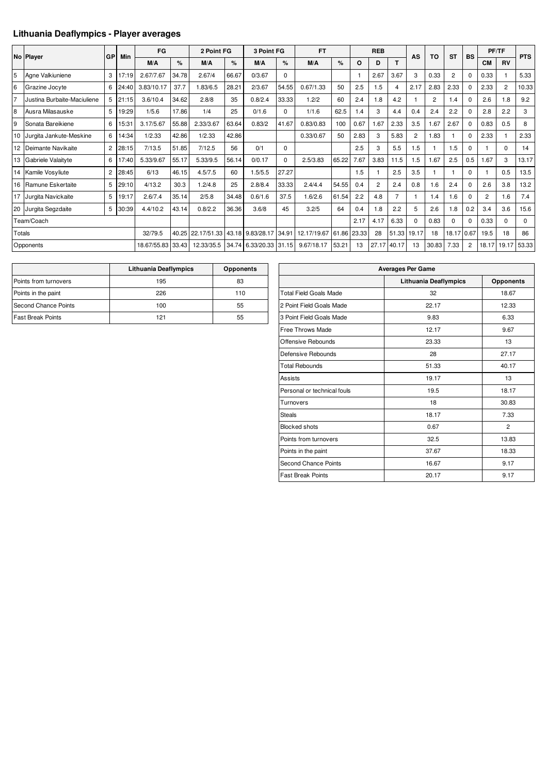### **Lithuania Deaflympics - Player averages**

|        |                             |                |       | FG                |       | 2 Point FG        |       | 3 Point FG             |          | <b>FT</b>   |       |       | <b>REB</b>     |                |          |                |                |                |                | PF/TF          |             |
|--------|-----------------------------|----------------|-------|-------------------|-------|-------------------|-------|------------------------|----------|-------------|-------|-------|----------------|----------------|----------|----------------|----------------|----------------|----------------|----------------|-------------|
|        | No Player                   | <b>GP</b>      | Min   | M/A               | $\%$  | M/A               | $\%$  | M/A                    | %        | M/A         | %     | O     | D              | T.             | AS       | TO             | <b>ST</b>      | <b>BS</b>      | <b>CM</b>      | <b>RV</b>      | <b>PTS</b>  |
| 5      | Agne Valkiuniene            | 3              | 17:19 | 2.67/7.67         | 34.78 | 2.67/4            | 66.67 | 0/3.67                 | $\Omega$ |             |       |       | 2.67           | 3.67           | 3        | 0.33           | $\overline{2}$ | $\Omega$       | 0.33           |                | 5.33        |
| 6      | Grazine Jocyte              | 6              | 24:40 | 3.83/10.17        | 37.7  | .83/6.5           | 28.21 | 2/3.67                 | 54.55    | 0.67/1.33   | 50    | 2.5   | 1.5            | 4              | 2.17     | 2.83           | 2.33           | $\Omega$       | 2.33           | $\overline{2}$ | 10.33       |
| 17     | Justina Burbaite-Maciuliene | 5              | 21:15 | 3.6/10.4          | 34.62 | 2.8/8             | 35    | 0.8/2.4                | 33.33    | 1.2/2       | 60    | 2.4   | 1.8            | 4.2            |          | $\overline{2}$ | 1.4            | $\mathbf 0$    | 2.6            | .8             | 9.2         |
| 8      | Ausra Milasauske            | 5              | 19:29 | 1/5.6             | 17.86 | 1/4               | 25    | 0/1.6                  | $\Omega$ | 1/1.6       | 62.5  | 1.4   | 3              | 4.4            | 0.4      | 2.4            | 2.2            | $\Omega$       | 2.8            | 2.2            | 3           |
| 9      | Sonata Bareikiene           | 6              | 15:31 | 3.17/5.67         | 55.88 | 2.33/3.67         | 63.64 | 0.83/2                 | 41.67    | 0.83/0.83   | 100   | 0.67  | 1.67           | 2.33           | 3.5      | 1.67           | 2.67           | 0              | 0.83           | 0.5            | 8           |
|        | 10 Jurgita Jankute-Meskine  | 6              | 14:34 | 1/2.33            | 42.86 | 1/2.33            | 42.86 |                        |          | 0.33/0.67   | 50    | 2.83  | 3              | 5.83           | 2        | 1.83           |                | $\Omega$       | 2.33           |                | 2.33        |
|        | 12 Deimante Navikaite       | $\overline{2}$ | 28:15 | 7/13.5            | 51.85 | 7/12.5            | 56    | 0/1                    | 0        |             |       | 2.5   | 3              | 5.5            | 1.5      |                | 1.5            | $\Omega$       |                | $\mathbf 0$    | 14          |
|        | 13 Gabriele Valaityte       | 6              | 17:40 | 5.33/9.67         | 55.17 | 5.33/9.5          | 56.14 | 0/0.17                 | $\Omega$ | 2.5/3.83    | 65.22 | 7.67  | 3.83           | 11.5           | 1.5      | 1.67           | 2.5            | 0.5            | 1.67           | 3              | 13.17       |
|        | 14 Kamile Vosyliute         | $\mathbf{2}$   | 28:45 | 6/13              | 46.15 | 4.5/7.5           | 60    | 1.5/5.5                | 27.27    |             |       | 1.5   |                | 2.5            | 3.5      |                |                | $\Omega$       |                | 0.5            | 13.5        |
| 16     | Ramune Eskertaite           | 5              | 29:10 | 4/13.2            | 30.3  | 1.2/4.8           | 25    | 2.8/8.4                | 33.33    | 2.4/4.4     | 54.55 | 0.4   | $\overline{c}$ | 2.4            | 0.8      | 1.6            | 2.4            | 0              | 2.6            | 3.8            | 13.2        |
| 17     | Jurgita Navickaite          | 5              | 19:17 | 2.6/7.4           | 35.14 | 2/5.8             | 34.48 | 0.6/1.6                | 37.5     | 1.6/2.6     | 61.54 | 2.2   | 4.8            | $\overline{7}$ |          | 1.4            | 1.6            | $\Omega$       | $\overline{2}$ | .6             | 7.4         |
|        | 20 Jurgita Segzdaite        | 5 <sup>1</sup> | 30:39 | 4.4/10.2          | 43.14 | 0.8/2.2           | 36.36 | 3.6/8                  | 45       | 3.2/5       | 64    | 0.4   | 1.8            | 2.2            | 5        | 2.6            | 1.8            | 0.2            | 3.4            | 3.6            | 15.6        |
|        | Team/Coach                  |                |       |                   |       |                   |       |                        |          |             |       | 2.17  | 4.17           | 6.33           | $\Omega$ | 0.83           | $\mathbf 0$    | 0              | 0.33           | $\Omega$       | $\mathbf 0$ |
| Totals |                             |                |       | 32/79.5           | 40.25 | 22.17/51.33 43.18 |       | 9.83/28.17             | 34.91    | 12.17/19.67 | 61.86 | 23.33 | 28             | 51.33          | 19.17    | 18             | 18.17 0.67     |                | 19.5           | 18             | 86          |
|        | Opponents                   |                |       | 18.67/55.83 33.43 |       | 12.33/35.5        |       | 34.74 6.33/20.33 31.15 |          | 9.67/18.17  | 53.21 | 13    | 27.17          | 40.17          | 13       | 30.83          | 7.33           | $\overline{2}$ | 18.17          | 19.17          | 53.33       |

|                          | Lithuania Deaflympics | <b>Opponents</b> |
|--------------------------|-----------------------|------------------|
| Points from turnovers    | 195                   | 83               |
| Points in the paint      | 226                   | 110              |
| Second Chance Points     | 100                   | 55               |
| <b>Fast Break Points</b> | 121                   | 55               |

| <b>Averages Per Game</b>      |                       |                  |  |  |  |  |  |  |  |  |
|-------------------------------|-----------------------|------------------|--|--|--|--|--|--|--|--|
|                               | Lithuania Deaflympics | <b>Opponents</b> |  |  |  |  |  |  |  |  |
| <b>Total Field Goals Made</b> | 32                    | 18.67            |  |  |  |  |  |  |  |  |
| 2 Point Field Goals Made      | 22.17                 | 12.33            |  |  |  |  |  |  |  |  |
| 3 Point Field Goals Made      | 9.83                  | 6.33             |  |  |  |  |  |  |  |  |
| Free Throws Made              | 12.17                 | 9.67             |  |  |  |  |  |  |  |  |
| Offensive Rebounds            | 23.33                 | 13               |  |  |  |  |  |  |  |  |
| Defensive Rebounds            | 28                    | 27.17            |  |  |  |  |  |  |  |  |
| <b>Total Rebounds</b>         | 51.33                 | 40.17            |  |  |  |  |  |  |  |  |
| <b>Assists</b>                | 19.17                 | 13               |  |  |  |  |  |  |  |  |
| Personal or technical fouls   | 19.5                  | 18.17            |  |  |  |  |  |  |  |  |
| Turnovers                     | 18                    | 30.83            |  |  |  |  |  |  |  |  |
| <b>Steals</b>                 | 18.17                 | 7.33             |  |  |  |  |  |  |  |  |
| <b>Blocked shots</b>          | 0.67                  | $\overline{2}$   |  |  |  |  |  |  |  |  |
| Points from turnovers         | 32.5                  | 13.83            |  |  |  |  |  |  |  |  |
| Points in the paint           | 37.67                 | 18.33            |  |  |  |  |  |  |  |  |
| Second Chance Points          | 16.67                 | 9.17             |  |  |  |  |  |  |  |  |
| <b>Fast Break Points</b>      | 20.17                 | 9.17             |  |  |  |  |  |  |  |  |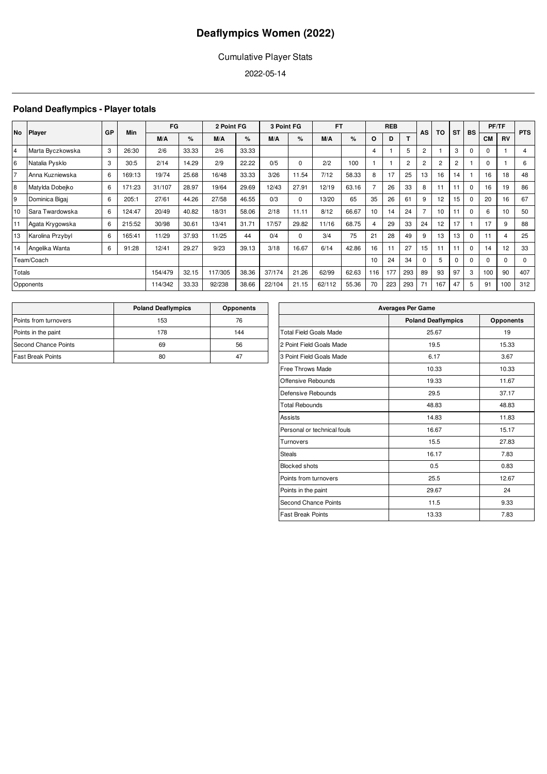### Cumulative Player Stats

2022-05-14

### **Poland Deaflympics - Player totals**

| No             |                  | GP | Min    | FG      |       | 2 Point FG |       | 3 Point FG |          | <b>FT</b> |       |         | <b>REB</b> |                |                | TO             | <b>ST</b>      | <b>BS</b> |             | PF/TF     | <b>PTS</b> |
|----------------|------------------|----|--------|---------|-------|------------|-------|------------|----------|-----------|-------|---------|------------|----------------|----------------|----------------|----------------|-----------|-------------|-----------|------------|
|                | <b>Player</b>    |    |        | M/A     | %     | M/A        | %     | M/A        | %        | M/A       | %     | $\circ$ | D          |                | AS             |                |                |           | <b>CM</b>   | <b>RV</b> |            |
| $\overline{4}$ | Marta Byczkowska | 3  | 26:30  | 2/6     | 33.33 | 2/6        | 33.33 |            |          |           |       | 4       |            | 5              | 2              |                | 3              | $\Omega$  | $\mathbf 0$ |           | 4          |
| 6              | Natalia Pysklo   | 3  | 30:5   | 2/14    | 14.29 | 2/9        | 22.22 | 0/5        | 0        | 2/2       | 100   |         |            | $\overline{2}$ | $\overline{c}$ | $\overline{2}$ | $\overline{2}$ |           | $\mathbf 0$ |           | 6          |
| $\overline{7}$ | Anna Kuzniewska  | 6  | 169:13 | 19/74   | 25.68 | 16/48      | 33.33 | 3/26       | 11.54    | 7/12      | 58.33 | 8       | 17         | 25             | 13             | 16             | 14             |           | 16          | 18        | 48         |
| 8              | Matylda Dobejko  | 6  | 171:23 | 31/107  | 28.97 | 19/64      | 29.69 | 12/43      | 27.91    | 12/19     | 63.16 |         | 26         | 33             | 8              | 11             | 11             | $\Omega$  | 16          | 19        | 86         |
| 9              | Dominica Bigai   | 6  | 205:1  | 27/61   | 44.26 | 27/58      | 46.55 | 0/3        | $\Omega$ | 13/20     | 65    | 35      | 26         | 61             | 9              | 12             | 15             | $\Omega$  | 20          | 16        | 67         |
| 10             | Sara Twardowska  | 6  | 124:47 | 20/49   | 40.82 | 18/31      | 58.06 | 2/18       | 11.11    | 8/12      | 66.67 | 10      | 14         | 24             | 7              | 10             | 11             | $\Omega$  | 6           | 10        | 50         |
| 11             | Agata Krygowska  | 6  | 215:52 | 30/98   | 30.61 | 13/41      | 31.71 | 17/57      | 29.82    | 11/16     | 68.75 |         | 29         | 33             | 24             | 12             | 17             |           | 17          | 9         | 88         |
| 13             | Karolina Przybyl | 6  | 165:41 | 11/29   | 37.93 | 11/25      | 44    | 0/4        | $\Omega$ | 3/4       | 75    | 21      | 28         | 49             | 9              | 13             | 13             | $\Omega$  | 11          | 4         | 25         |
| 14             | Angelika Wanta   | 6  | 91:28  | 12/41   | 29.27 | 9/23       | 39.13 | 3/18       | 16.67    | 6/14      | 42.86 | 16      | 11         | 27             | 15             | 11             | 11             | $\Omega$  | 14          | 12        | 33         |
|                | Team/Coach       |    |        |         |       |            |       |            |          |           |       | 10      | 24         | 34             | $\Omega$       | 5              | $\Omega$       | $\Omega$  | $\Omega$    | $\Omega$  | $\Omega$   |
| Totals         |                  |    |        | 154/479 | 32.15 | 117/305    | 38.36 | 37/174     | 21.26    | 62/99     | 62.63 | 116     | 177        | 293            | 89             | 93             | 97             | 3         | 100         | 90        | 407        |
|                | Opponents        |    |        | 114/342 | 33.33 | 92/238     | 38.66 | 22/104     | 21.15    | 62/112    | 55.36 | 70      | 223        | 293            | 71             | 167            | 47             | 5         | 91          | 100       | 312        |

|                          | <b>Poland Deaflympics</b> | <b>Opponents</b> |
|--------------------------|---------------------------|------------------|
| Points from turnovers    | 153                       | 76               |
| Points in the paint      | 178                       | 144              |
| Second Chance Points     | 69                        | 56               |
| <b>Fast Break Points</b> | 80                        | 47               |

| <b>Averages Per Game</b>      |                           |                  |  |  |  |  |  |  |  |  |
|-------------------------------|---------------------------|------------------|--|--|--|--|--|--|--|--|
|                               | <b>Poland Deaflympics</b> | <b>Opponents</b> |  |  |  |  |  |  |  |  |
| <b>Total Field Goals Made</b> | 25.67                     | 19               |  |  |  |  |  |  |  |  |
| 2 Point Field Goals Made      | 19.5                      | 15.33            |  |  |  |  |  |  |  |  |
| 3 Point Field Goals Made      | 6.17                      | 3.67             |  |  |  |  |  |  |  |  |
| Free Throws Made              | 10.33                     | 10.33            |  |  |  |  |  |  |  |  |
| Offensive Rebounds            | 19.33                     | 11.67            |  |  |  |  |  |  |  |  |
| Defensive Rebounds            | 29.5                      | 37.17            |  |  |  |  |  |  |  |  |
| <b>Total Rebounds</b>         | 48.83                     | 48.83            |  |  |  |  |  |  |  |  |
| Assists                       | 14.83                     | 11.83            |  |  |  |  |  |  |  |  |
| Personal or technical fouls   | 16.67                     | 15.17            |  |  |  |  |  |  |  |  |
| Turnovers                     | 15.5                      | 27.83            |  |  |  |  |  |  |  |  |
| <b>Steals</b>                 | 16.17                     | 7.83             |  |  |  |  |  |  |  |  |
| <b>Blocked shots</b>          | 0.5                       | 0.83             |  |  |  |  |  |  |  |  |
| Points from turnovers         | 25.5                      | 12.67            |  |  |  |  |  |  |  |  |
| Points in the paint           | 29.67                     | 24               |  |  |  |  |  |  |  |  |
| <b>Second Chance Points</b>   | 11.5                      | 9.33             |  |  |  |  |  |  |  |  |
| <b>Fast Break Points</b>      | 13.33                     | 7.83             |  |  |  |  |  |  |  |  |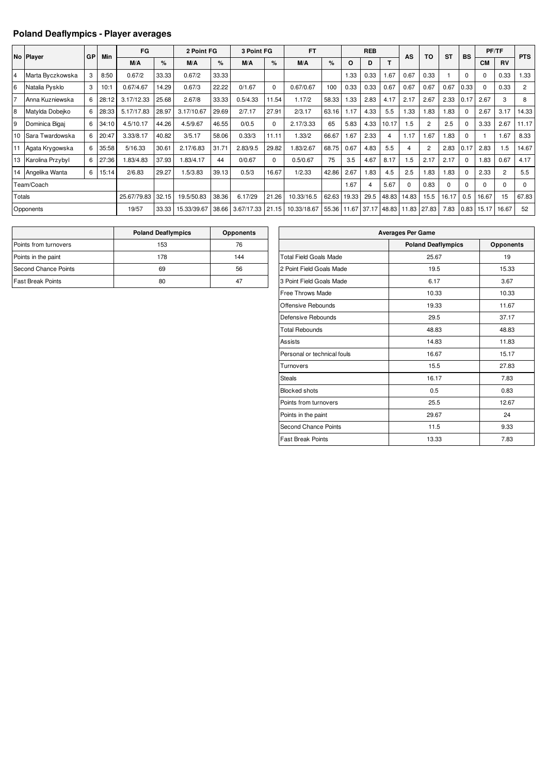### **Poland Deaflympics - Player averages**

|                |                   | GP | Min   | FG          |       | 2 Point FG  |       | 3 Point FG |          | <b>FT</b>   |       |       | <b>REB</b>        |       | AS       | TO             | <b>ST</b> | <b>BS</b> | PF/TF     |                | <b>PTS</b>     |
|----------------|-------------------|----|-------|-------------|-------|-------------|-------|------------|----------|-------------|-------|-------|-------------------|-------|----------|----------------|-----------|-----------|-----------|----------------|----------------|
|                | No Player         |    |       | M/A         | %     | M/A         | %     | M/A        | %        | M/A         | %     | O     | D                 | т     |          |                |           |           | <b>CM</b> | RV             |                |
| $\overline{4}$ | Marta Byczkowska  | 3  | 8:50  | 0.67/2      | 33.33 | 0.67/2      | 33.33 |            |          |             |       | 1.33  | 0.33              | 1.67  | 0.67     | 0.33           |           | $\Omega$  | $\Omega$  | 0.33           | 1.33           |
| 6              | Natalia Pysklo    | 3  | 10:1  | 0.67/4.67   | 14.29 | 0.67/3      | 22.22 | 0/1.67     | $\Omega$ | 0.67/0.67   | 100   | 0.33  | 0.33              | 0.67  | 0.67     | 0.67           | 0.67      | 0.33      | $\Omega$  | 0.33           | $\overline{2}$ |
| 17             | Anna Kuzniewska   | 6  | 28:12 | 3.17/12.33  | 25.68 | 2.67/8      | 33.33 | 0.5/4.33   | 11.54    | 1.17/2      | 58.33 | 1.33  | 2.83              | 4.17  | 2.17     | 2.67           | 2.33      | 0.17      | 2.67      | 3              | 8              |
| 18             | Matylda Dobejko   | 6  | 28:33 | 5.17/17.83  | 28.97 | 3.17/10.67  | 29.69 | 2/7.17     | 27.91    | 2/3.17      | 63.16 | 1.17  | 4.33              | 5.5   | 1.33     | 1.83           | 1.83      | 0         | 2.67      | 3.17           | 14.33          |
| 9              | Dominica Bigaj    | 6  | 34:10 | 4.5/10.17   | 44.26 | 4.5/9.67    | 46.55 | 0/0.5      | $\Omega$ | 2.17/3.33   | 65    | 5.83  | 4.33              | 10.17 | 1.5      | 2              | 2.5       | $\Omega$  | 3.33      | 2.67           | 11.17          |
| 10             | Sara Twardowska   | 6  | 20:47 | 3.33/8.17   | 40.82 | 3/5.17      | 58.06 | 0.33/3     | 11.11    | 1.33/2      | 66.67 | 1.67  | 2.33              | 4     | 1.17     | 1.67           | 1.83      | 0         |           | 1.67           | 8.33           |
| 11             | Agata Krygowska   | 6  | 35:58 | 5/16.33     | 30.61 | 2.17/6.83   | 31.71 | 2.83/9.5   | 29.82    | .83/2.67    | 68.75 | 0.67  | 4.83              | 5.5   | 4        | $\overline{2}$ | 2.83      | 0.17      | 2.83      | 1.5            | 14.67          |
| 13             | Karolina Przybyl  | 6  | 27:36 | .83/4.83    | 37.93 | 1.83/4.17   | 44    | 0/0.67     | $\Omega$ | 0.5/0.67    | 75    | 3.5   | 4.67              | 8.17  | $.5\,$   | 2.17           | 2.17      | $\Omega$  | 1.83      | 0.67           | 4.17           |
|                | 14 Angelika Wanta | 6  | 15:14 | 2/6.83      | 29.27 | 1.5/3.83    | 39.13 | 0.5/3      | 16.67    | 1/2.33      | 42.86 | 2.67  | 1.83              | 4.5   | 2.5      | 1.83           | 1.83      | 0         | 2.33      | $\overline{2}$ | 5.5            |
|                | Team/Coach        |    |       |             |       |             |       |            |          |             |       | 1.67  | 4                 | 5.67  | $\Omega$ | 0.83           | $\Omega$  | $\Omega$  | $\Omega$  | $\Omega$       | $\Omega$       |
| Totals         |                   |    |       | 25.67/79.83 | 32.15 | 19.5/50.83  | 38.36 | 6.17/29    | 21.26    | 10.33/16.5  | 62.63 | 19.33 | 29.5              | 48.83 | 14.83    | 15.5           | 16.17     | 0.5       | 16.67     | 15             | 67.83          |
|                | Opponents         |    |       | 19/57       | 33.33 | 15.33/39.67 | 38.66 | 3.67/17.33 | 21.15    | 10.33/18.67 |       |       | 55.36 11.67 37.17 | 48.83 | 11.83    | 27.83          | 7.83      | 0.83      | 15.17     | 16.67          | 52             |

|                          | <b>Poland Deaflympics</b> | <b>Opponents</b> |
|--------------------------|---------------------------|------------------|
| Points from turnovers    | 153                       | 76               |
| Points in the paint      | 178                       | 144              |
| Second Chance Points     | 69                        | 56               |
| <b>Fast Break Points</b> | 80                        |                  |

| <b>Averages Per Game</b>      |                           |                  |  |  |  |  |  |  |  |  |
|-------------------------------|---------------------------|------------------|--|--|--|--|--|--|--|--|
|                               | <b>Poland Deaflympics</b> | <b>Opponents</b> |  |  |  |  |  |  |  |  |
| <b>Total Field Goals Made</b> | 25.67                     | 19               |  |  |  |  |  |  |  |  |
| 2 Point Field Goals Made      | 19.5                      | 15.33            |  |  |  |  |  |  |  |  |
| 3 Point Field Goals Made      | 6.17                      | 3.67             |  |  |  |  |  |  |  |  |
| <b>Free Throws Made</b>       | 10.33                     | 10.33            |  |  |  |  |  |  |  |  |
| Offensive Rebounds            | 19.33                     | 11.67            |  |  |  |  |  |  |  |  |
| Defensive Rebounds            | 29.5                      | 37.17            |  |  |  |  |  |  |  |  |
| <b>Total Rebounds</b>         | 48.83                     | 48.83            |  |  |  |  |  |  |  |  |
| Assists                       | 14.83                     | 11.83            |  |  |  |  |  |  |  |  |
| Personal or technical fouls   | 16.67                     | 15.17            |  |  |  |  |  |  |  |  |
| Turnovers                     | 15.5                      | 27.83            |  |  |  |  |  |  |  |  |
| <b>Steals</b>                 | 16.17                     | 7.83             |  |  |  |  |  |  |  |  |
| <b>Blocked shots</b>          | 0.5                       | 0.83             |  |  |  |  |  |  |  |  |
| Points from turnovers         | 25.5                      | 12.67            |  |  |  |  |  |  |  |  |
| Points in the paint           | 29.67                     | 24               |  |  |  |  |  |  |  |  |
| <b>Second Chance Points</b>   | 11.5                      | 9.33             |  |  |  |  |  |  |  |  |
| <b>Fast Break Points</b>      | 13.33                     | 7.83             |  |  |  |  |  |  |  |  |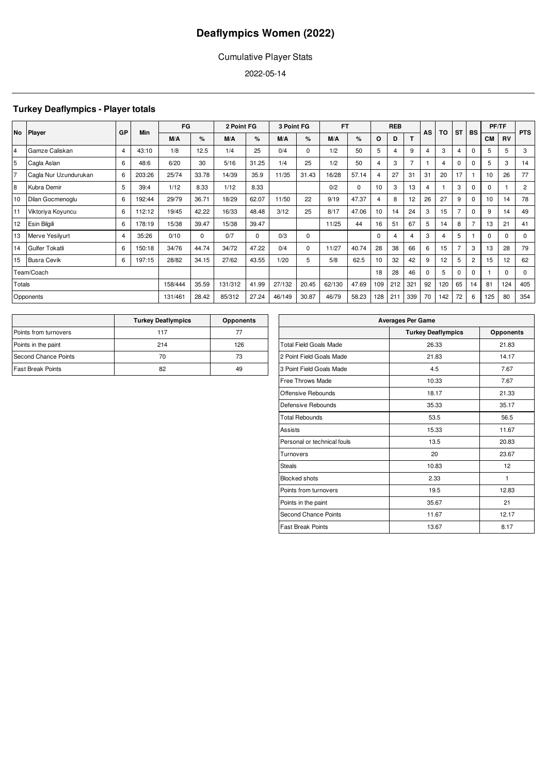### Cumulative Player Stats

2022-05-14

### **Turkey Deaflympics - Player totals**

|           |                       | GP | <b>Min</b> | FG      |          | 2 Point FG |          | 3 Point FG |             | <b>FT</b> |             |          | <b>REB</b> |                | AS | TO  | <b>ST</b> | <b>BS</b>      | PF/TF     |           | <b>PTS</b>     |
|-----------|-----------------------|----|------------|---------|----------|------------|----------|------------|-------------|-----------|-------------|----------|------------|----------------|----|-----|-----------|----------------|-----------|-----------|----------------|
| <b>No</b> | <b>Player</b>         |    |            | M/A     | $\%$     | M/A        | ℅        | M/A        | %           | M/A       | %           | O        | D          | т              |    |     |           |                | <b>CM</b> | <b>RV</b> |                |
| 14        | Gamze Caliskan        | 4  | 43:10      | 1/8     | 12.5     | 1/4        | 25       | 0/4        | $\mathbf 0$ | 1/2       | 50          | 5        |            | 9              | 4  | 3   | 4         | 0              | 5         | 5         | 3              |
| 5         | Cagla Aslan           | 6  | 48:6       | 6/20    | 30       | 5/16       | 31.25    | 1/4        | 25          | 1/2       | 50          | 4        | 3          | $\overline{7}$ |    | 4   | 0         | 0              | 5         | 3         | 14             |
| 7         | Cagla Nur Uzundurukan | 6  | 203:26     | 25/74   | 33.78    | 14/39      | 35.9     | 11/35      | 31.43       | 16/28     | 57.14       | 4        | 27         | 31             | 31 | 20  | 17        |                | 10        | 26        | 77             |
| 8         | Kubra Demir           | 5  | 39:4       | 1/12    | 8.33     | 1/12       | 8.33     |            |             | 0/2       | $\mathbf 0$ | 10       | 3          | 13             | 4  |     | 3         | 0              | $\Omega$  |           | $\overline{2}$ |
| 10        | Dilan Gocmenoglu      | 6  | 192:44     | 29/79   | 36.71    | 18/29      | 62.07    | 11/50      | 22          | 9/19      | 47.37       | 4        | 8          | 12             | 26 | 27  | 9         | $\Omega$       | 10        | 14        | 78             |
| 11        | Viktoriya Koyuncu     | 6  | 112:12     | 19/45   | 42.22    | 16/33      | 48.48    | 3/12       | 25          | 8/17      | 47.06       | 10       | 14         | 24             | 3  | 15  |           | $\Omega$       | 9         | 14        | 49             |
| 12        | Esin Bilgili          | 6  | 178:19     | 15/38   | 39.47    | 15/38      | 39.47    |            |             | 11/25     | 44          | 16       | 51         | 67             | 5  | 14  | 8         |                | 13        | 21        | 41             |
| 13        | Merve Yesilyurt       | 4  | 35:26      | 0/10    | $\Omega$ | 0/7        | $\Omega$ | 0/3        | 0           |           |             | $\Omega$ |            | 4              | 3  | 4   | 5         |                | $\Omega$  | $\Omega$  | $\Omega$       |
| 14        | Gulfer Tokatli        | 6  | 150:18     | 34/76   | 44.74    | 34/72      | 47.22    | 0/4        | 0           | 11/27     | 40.74       | 28       | 38         | 66             | 6  | 15  |           | 3              | 13        | 28        | 79             |
| 15        | <b>Busra Cevik</b>    | 6  | 197:15     | 28/82   | 34.15    | 27/62      | 43.55    | 1/20       | 5           | 5/8       | 62.5        | 10       | 32         | 42             | 9  | 12  | 5         | $\overline{c}$ | 15        | 12        | 62             |
|           | Team/Coach            |    |            |         |          |            |          |            |             |           |             | 18       | 28         | 46             | 0  | 5   | 0         | $\Omega$       |           | $\Omega$  | $\mathbf 0$    |
| Totals    |                       |    |            | 158/444 | 35.59    | 131/312    | 41.99    | 27/132     | 20.45       | 62/130    | 47.69       | 109      | 212        | 321            | 92 | 120 | 65        | 14             | 81        | 124       | 405            |
|           | Opponents             |    |            | 131/461 | 28.42    | 85/312     | 27.24    | 46/149     | 30.87       | 46/79     | 58.23       | 128      | 211        | 339            | 70 | 142 | 72        | 6              | 125       | 80        | 354            |

|                          | <b>Turkey Deaflympics</b> | <b>Opponents</b> |
|--------------------------|---------------------------|------------------|
| Points from turnovers    | 117                       | 77               |
| Points in the paint      | 214                       | 126              |
| Second Chance Points     | 70                        | 73               |
| <b>Fast Break Points</b> | 82                        | 49               |

| <b>Averages Per Game</b>      |                           |                  |  |  |  |  |  |  |  |
|-------------------------------|---------------------------|------------------|--|--|--|--|--|--|--|
|                               | <b>Turkey Deaflympics</b> | <b>Opponents</b> |  |  |  |  |  |  |  |
| <b>Total Field Goals Made</b> | 26.33                     | 21.83            |  |  |  |  |  |  |  |
| 2 Point Field Goals Made      | 21.83                     | 14.17            |  |  |  |  |  |  |  |
| 3 Point Field Goals Made      | 4.5                       | 7.67             |  |  |  |  |  |  |  |
| <b>Free Throws Made</b>       | 10.33                     | 7.67             |  |  |  |  |  |  |  |
| Offensive Rebounds            | 18.17                     | 21.33            |  |  |  |  |  |  |  |
| Defensive Rebounds            | 35.33                     | 35.17            |  |  |  |  |  |  |  |
| <b>Total Rebounds</b>         | 53.5                      | 56.5             |  |  |  |  |  |  |  |
| Assists                       | 15.33                     | 11.67            |  |  |  |  |  |  |  |
| Personal or technical fouls   | 13.5                      | 20.83            |  |  |  |  |  |  |  |
| Turnovers                     | 20                        | 23.67            |  |  |  |  |  |  |  |
| <b>Steals</b>                 | 10.83                     | 12               |  |  |  |  |  |  |  |
| <b>Blocked shots</b>          | 2.33                      | 1                |  |  |  |  |  |  |  |
| Points from turnovers         | 19.5                      | 12.83            |  |  |  |  |  |  |  |
| Points in the paint           | 35.67                     | 21               |  |  |  |  |  |  |  |
| <b>Second Chance Points</b>   | 11.67                     | 12.17            |  |  |  |  |  |  |  |
| <b>Fast Break Points</b>      | 13.67                     | 8.17             |  |  |  |  |  |  |  |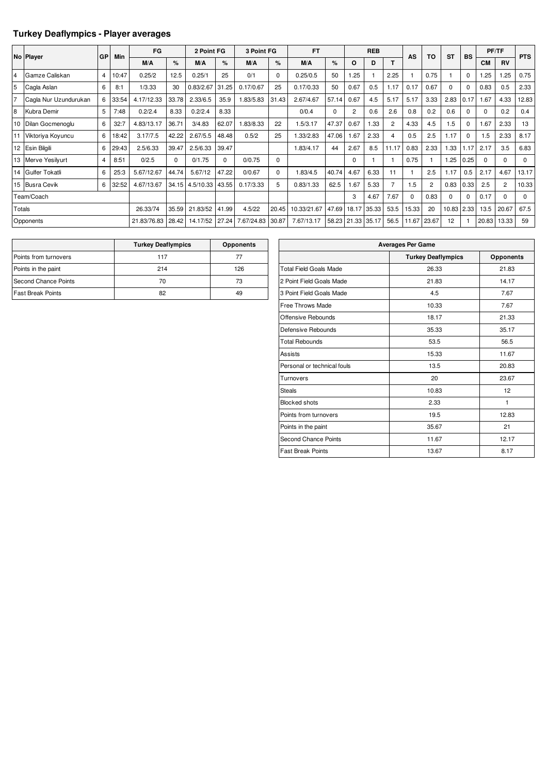### **Turkey Deaflympics - Player averages**

|        |                       |                |       | FG          |          | 2 Point FG |          | 3 Point FG |       | <b>FT</b>   |       | <b>REB</b>     |       |                |          |                |           |             |           | PF/TF          |            |
|--------|-----------------------|----------------|-------|-------------|----------|------------|----------|------------|-------|-------------|-------|----------------|-------|----------------|----------|----------------|-----------|-------------|-----------|----------------|------------|
|        | No Player             | <b>GP</b>      | Min   | M/A         | %        | M/A        | %        | M/A        | %     | M/A         | %     | O              | D     |                | AS       | TO             | <b>ST</b> | <b>BS</b>   | <b>CM</b> | <b>RV</b>      | <b>PTS</b> |
| 4      | Gamze Caliskan        | $\overline{4}$ | 10:47 | 0.25/2      | 12.5     | 0.25/1     | 25       | 0/1        | 0     | 0.25/0.5    | 50    | .25            |       | 2.25           |          | 0.75           |           | $\Omega$    | 1.25      | 1.25           | 0.75       |
| 5      | Cagla Aslan           | 6              | 8:1   | 1/3.33      | 30       | 0.83/2.67  | 31.25    | 0.17/0.67  | 25    | 0.17/0.33   | 50    | 0.67           | 0.5   | 1.17           | 0.17     | 0.67           | $\Omega$  | $\mathbf 0$ | 0.83      | 0.5            | 2.33       |
| 17     | Cagla Nur Uzundurukan | 6              | 33:54 | 4.17/12.33  | 33.78    | 2.33/6.5   | 35.9     | 1.83/5.83  | 31.43 | 2.67/4.67   | 57.14 | 0.67           | 4.5   | 5.17           | 5.17     | 3.33           | 2.83      | 0.17        | 1.67      | 4.33           | 12.83      |
| 8      | Kubra Demir           | 5              | 7:48  | 0.2/2.4     | 8.33     | 0.2/2.4    | 8.33     |            |       | 0/0.4       | 0     | $\overline{c}$ | 0.6   | 2.6            | 0.8      | 0.2            | 0.6       | $\Omega$    |           | 0.2            | 0.4        |
|        | 10 Dilan Gocmenoglu   | 6              | 32:   | 4.83/13.17  | 36.71    | 3/4.83     | 62.07    | 1.83/8.33  | 22    | 1.5/3.17    | 47.37 | 0.67           | 1.33  | $\overline{2}$ | 4.33     | 4.5            | 1.5       | $\Omega$    | 1.67      | 2.33           | 13         |
|        | 11 Viktoriya Koyuncu  | 6              | 18:42 | 3.17/7.5    | 42.22    | 2.67/5.5   | 48.48    | 0.5/2      | 25    | .33/2.83    | 47.06 | 1.67           | 2.33  | $\overline{4}$ | 0.5      | 2.5            | 1.17      | $\Omega$    | 1.5       | 2.33           | 8.17       |
|        | 12 Esin Bilgili       | 6              | 29:43 | 2.5/6.33    | 39.47    | 2.5/6.33   | 39.47    |            |       | 1.83/4.17   | 44    | 2.67           | 8.5   | 11.17          | 0.83     | 2.33           | 1.33      | 1.17        | 2.17      | 3.5            | 6.83       |
|        | 13 Merve Yesilyurt    | 4              | 8:51  | 0/2.5       | $\Omega$ | 0/1.75     | $\Omega$ | 0/0.75     | 0     |             |       | 0              |       |                | 0.75     |                | 1.25      | 0.25        | $\Omega$  | $\Omega$       | 0          |
|        | 14 Gulfer Tokatli     | 6              | 25:3  | 5.67/12.67  | 44.74    | 5.67/12    | 47.22    | 0/0.67     | 0     | 1.83/4.5    | 40.74 | 4.67           | 6.33  | 11             |          | 2.5            | 1.17      | 0.5         | 2.17      | 4.67           | 13.17      |
|        | 15 Busra Cevik        | 6              | 32:52 | 4.67/13.67  | 34.15    | 4.5/10.33  | 43.55    | 0.17/3.33  | 5     | 0.83/1.33   | 62.5  | 1.67           | 5.33  | 7              | 1.5      | $\overline{2}$ | 0.83      | 0.33        | 2.5       | $\overline{2}$ | 10.33      |
|        | Team/Coach            |                |       |             |          |            |          |            |       |             |       | 3              | 4.67  | 7.67           | $\Omega$ | 0.83           | $\Omega$  | $\mathbf 0$ | 0.17      | $\Omega$       | 0          |
| Totals |                       |                |       | 26.33/74    | 35.59    | 21.83/52   | 41.99    | 4.5/22     | 20.45 | 10.33/21.67 | 47.69 | 18.17          | 35.33 | 53.5           | 15.33    | 20             | 10.83     | 2.33        | 13.5      | 20.67          | 67.5       |
|        | Opponents             |                |       | 21.83/76.83 | 28.42    | 14.17/52   | 27.24    | 7.67/24.83 | 30.87 | 7.67/13.17  |       | 58.23 21.33    | 35.17 | 56.5           | 11.67    | 23.67          | 12        |             | 20.83     | 13.33          | 59         |

|                          | <b>Turkey Deaflympics</b> | <b>Opponents</b> |
|--------------------------|---------------------------|------------------|
| Points from turnovers    | 117                       | 77               |
| Points in the paint      | 214                       | 126              |
| Second Chance Points     | 70                        | 73               |
| <b>Fast Break Points</b> | 82                        | 49               |

| <b>Averages Per Game</b>      |                           |                  |  |  |  |  |  |  |  |
|-------------------------------|---------------------------|------------------|--|--|--|--|--|--|--|
|                               | <b>Turkey Deaflympics</b> | <b>Opponents</b> |  |  |  |  |  |  |  |
| <b>Total Field Goals Made</b> | 26.33                     | 21.83            |  |  |  |  |  |  |  |
| 2 Point Field Goals Made      | 21.83                     | 14.17            |  |  |  |  |  |  |  |
| 3 Point Field Goals Made      | 4.5                       | 7.67             |  |  |  |  |  |  |  |
| <b>Free Throws Made</b>       | 10.33                     | 7.67             |  |  |  |  |  |  |  |
| Offensive Rebounds            | 18.17                     | 21.33            |  |  |  |  |  |  |  |
| Defensive Rebounds            | 35.33                     | 35.17            |  |  |  |  |  |  |  |
| <b>Total Rebounds</b>         | 53.5                      | 56.5             |  |  |  |  |  |  |  |
| <b>Assists</b>                | 15.33                     | 11.67            |  |  |  |  |  |  |  |
| Personal or technical fouls   | 13.5                      | 20.83            |  |  |  |  |  |  |  |
| Turnovers                     | 20                        | 23.67            |  |  |  |  |  |  |  |
| <b>Steals</b>                 | 10.83                     | 12               |  |  |  |  |  |  |  |
| <b>Blocked shots</b>          | 2.33                      | 1                |  |  |  |  |  |  |  |
| Points from turnovers         | 19.5                      | 12.83            |  |  |  |  |  |  |  |
| Points in the paint           | 35.67                     | 21               |  |  |  |  |  |  |  |
| <b>Second Chance Points</b>   | 11.67                     | 12.17            |  |  |  |  |  |  |  |
| <b>Fast Break Points</b>      | 13.67                     | 8.17             |  |  |  |  |  |  |  |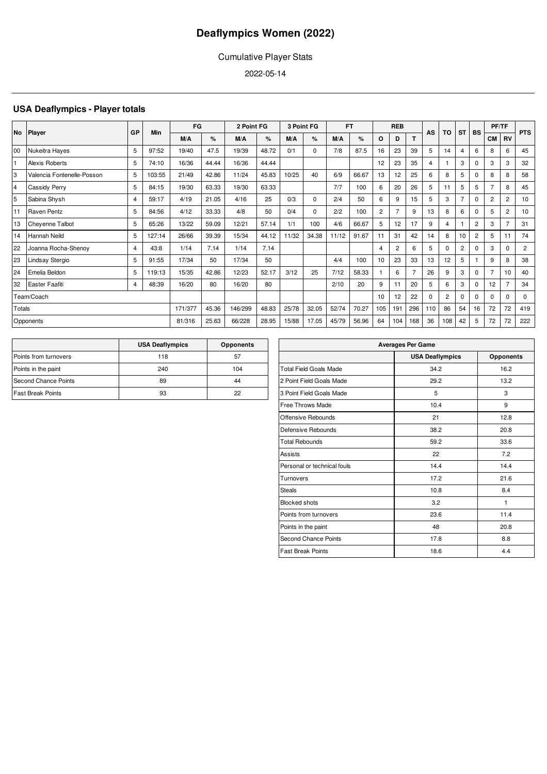### Cumulative Player Stats

2022-05-14

### **USA Deaflympics - Player totals**

|        | No Player                  |    | Min    | FG      |       | 2 Point FG |       | 3 Point FG |          |       | FT    |                | <b>REB</b>     |                | AS  | TO             | <b>ST</b>      | <b>BS</b>      | PF/TF          |                | <b>PTS</b>     |
|--------|----------------------------|----|--------|---------|-------|------------|-------|------------|----------|-------|-------|----------------|----------------|----------------|-----|----------------|----------------|----------------|----------------|----------------|----------------|
|        |                            | GP |        | M/A     | %     | M/A        | %     | M/A        | %        | M/A   | %     | O              | D              |                |     |                |                |                | CM I           | <b>RV</b>      |                |
| 00     | Nukeitra Hayes             | 5  | 97:52  | 19/40   | 47.5  | 19/39      | 48.72 | 0/1        | $\Omega$ | 7/8   | 87.5  | 16             | 23             | 39             | 5   | 14             | $\overline{4}$ | 6              | 8              | 6              | 45             |
| İ1     | Alexis Roberts             | 5  | 74:10  | 16/36   | 44.44 | 16/36      | 44.44 |            |          |       |       | 12             | 23             | 35             |     |                | 3              | $\Omega$       | 3              | 3              | 32             |
| 3      | Valencia Fontenelle-Posson | 5  | 103:55 | 21/49   | 42.86 | 11/24      | 45.83 | 10/25      | 40       | 6/9   | 66.67 | 13             | 12             | 25             | 6   | 8              | 5              | 0              | 8              | 8              | 58             |
| 4      | Cassidy Perry              | 5  | 84:15  | 19/30   | 63.33 | 19/30      | 63.33 |            |          | 7/7   | 100   | 6              | 20             | 26             | 5   | 11             | 5              | 5              | 7              | 8              | 45             |
| 5      | Sabina Shysh               | 4  | 59:17  | 4/19    | 21.05 | 4/16       | 25    | 0/3        | $\Omega$ | 2/4   | 50    | 6              | 9              | 15             | 5   | 3              | $\overline{7}$ | $\Omega$       | $\overline{2}$ | $\overline{2}$ | 10             |
| 11     | Raven Pentz                | 5  | 84:56  | 4/12    | 33.33 | 4/8        | 50    | 0/4        | $\Omega$ | 2/2   | 100   | $\overline{2}$ | $\overline{7}$ | 9              | 13  | 8              | 6              | $\mathbf 0$    | 5              | $\overline{2}$ | 10             |
| 13     | Cheyenne Talbot            | 5  | 65:26  | 13/22   | 59.09 | 12/21      | 57.14 | 1/1        | 100      | 4/6   | 66.67 | 5              | 12             | 17             | 9   | 4              |                | $\overline{c}$ | 3              | 7              | 31             |
| 14     | Hannah Neild               | 5  | 127:14 | 26/66   | 39.39 | 15/34      | 44.12 | 11/32      | 34.38    | 11/12 | 91.67 | 11             | 31             | 42             | 14  | 8              | 10             | $\overline{c}$ | 5              | 11             | 74             |
| 22     | Joanna Rocha-Shenoy        | 4  | 43:8   | 1/14    | 7.14  | 1/14       | 7.14  |            |          |       |       | 4              | $\overline{2}$ | 6              | 5   | 0              | $\overline{2}$ | $\mathbf 0$    | 3              | $\Omega$       | $\overline{2}$ |
| 23     | Lindsay Stergio            | 5  | 91:55  | 17/34   | 50    | 17/34      | 50    |            |          | 4/4   | 100   | 10             | 23             | 33             | 13  | 12             | 5              |                | 9              | 8              | 38             |
| 24     | Emelia Beldon              | 5  | 119:13 | 15/35   | 42.86 | 12/23      | 52.17 | 3/12       | 25       | 7/12  | 58.33 |                | 6              | $\overline{7}$ | 26  | 9              | 3              | $\Omega$       |                | 10             | 40             |
| 32     | Easter Faafiti             | 4  | 48:39  | 16/20   | 80    | 16/20      | 80    |            |          | 2/10  | 20    | 9              | 11             | 20             | 5   | 6              | 3              | $\mathbf 0$    | 12             |                | 34             |
|        | Team/Coach                 |    |        |         |       |            |       |            |          |       |       | 10             | 12             | 22             | 0   | $\overline{2}$ | $\Omega$       | $\Omega$       | $\Omega$       | $\Omega$       | $\Omega$       |
| Totals |                            |    |        | 171/377 | 45.36 | 146/299    | 48.83 | 25/78      | 32.05    | 52/74 | 70.27 | 105            | 191            | 296            | 110 | 86             | 54             | 16             | 72             | 72             | 419            |
|        | Opponents                  |    |        | 81/316  | 25.63 | 66/228     | 28.95 | 15/88      | 17.05    | 45/79 | 56.96 | 64             | 104            | 168            | 36  | 108            | 42             | 5              | 72             | 72             | 222            |

|                          | <b>USA Deaflympics</b> | <b>Opponents</b> |
|--------------------------|------------------------|------------------|
| Points from turnovers    | 118                    | 57               |
| Points in the paint      | 240                    | 104              |
| Second Chance Points     | 89                     | 44               |
| <b>Fast Break Points</b> | 93                     | 22               |

| <b>Averages Per Game</b>      |                        |           |  |  |  |  |  |  |  |  |
|-------------------------------|------------------------|-----------|--|--|--|--|--|--|--|--|
|                               | <b>USA Deaflympics</b> | Opponents |  |  |  |  |  |  |  |  |
| <b>Total Field Goals Made</b> | 34.2                   | 16.2      |  |  |  |  |  |  |  |  |
| 2 Point Field Goals Made      | 29.2                   | 13.2      |  |  |  |  |  |  |  |  |
| 3 Point Field Goals Made      | 5                      | 3         |  |  |  |  |  |  |  |  |
| Free Throws Made              | 10.4                   | 9         |  |  |  |  |  |  |  |  |
| Offensive Rebounds            | 21                     | 12.8      |  |  |  |  |  |  |  |  |
| Defensive Rebounds            | 38.2                   | 20.8      |  |  |  |  |  |  |  |  |
| <b>Total Rebounds</b>         | 59.2                   | 33.6      |  |  |  |  |  |  |  |  |
| Assists                       | 22                     | 7.2       |  |  |  |  |  |  |  |  |
| Personal or technical fouls   | 14.4                   | 14.4      |  |  |  |  |  |  |  |  |
| Turnovers                     | 17.2                   | 21.6      |  |  |  |  |  |  |  |  |
| <b>Steals</b>                 | 10.8                   | 8.4       |  |  |  |  |  |  |  |  |
| <b>Blocked shots</b>          | 3.2                    | 1         |  |  |  |  |  |  |  |  |
| Points from turnovers         | 23.6                   | 11.4      |  |  |  |  |  |  |  |  |
| Points in the paint           | 48                     | 20.8      |  |  |  |  |  |  |  |  |
| <b>Second Chance Points</b>   | 17.8                   | 8.8       |  |  |  |  |  |  |  |  |
| <b>Fast Break Points</b>      | 18.6                   | 4.4       |  |  |  |  |  |  |  |  |